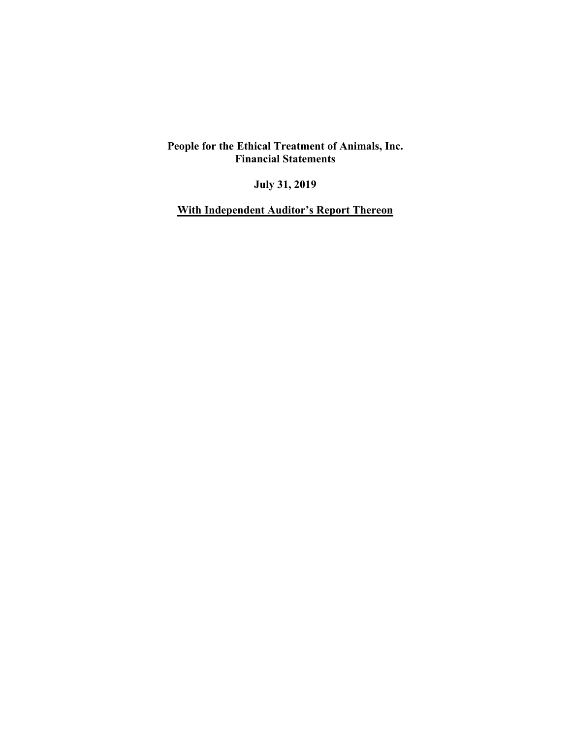**July 31, 2019** 

**With Independent Auditor's Report Thereon**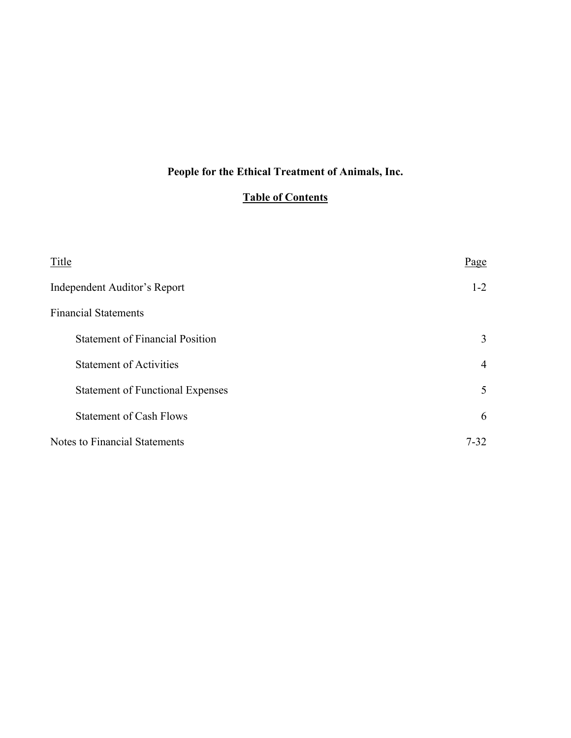# **People for the Ethical Treatment of Animals, Inc.**

## **Table of Contents**

| Title                                   | Page           |
|-----------------------------------------|----------------|
| Independent Auditor's Report            | $1 - 2$        |
| <b>Financial Statements</b>             |                |
| <b>Statement of Financial Position</b>  | 3              |
| <b>Statement of Activities</b>          | $\overline{4}$ |
| <b>Statement of Functional Expenses</b> | 5              |
| <b>Statement of Cash Flows</b>          | 6              |
| <b>Notes to Financial Statements</b>    | $7 - 32$       |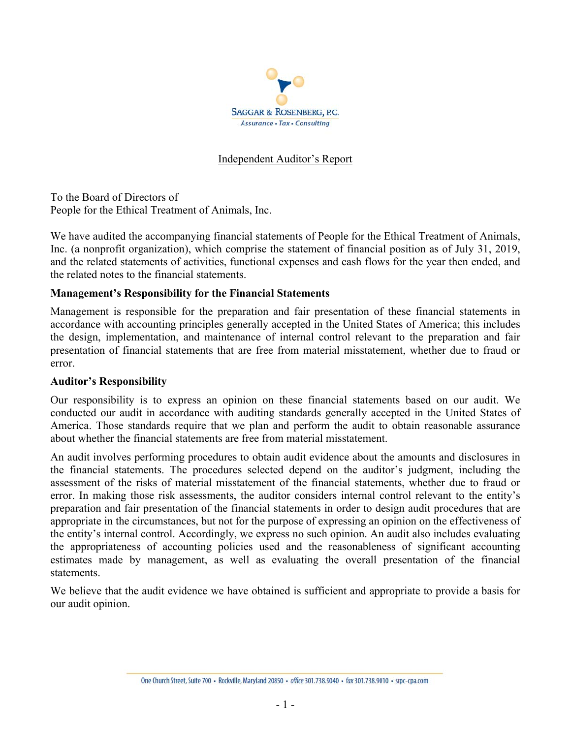

## Independent Auditor's Report

To the Board of Directors of People for the Ethical Treatment of Animals, Inc.

We have audited the accompanying financial statements of People for the Ethical Treatment of Animals, Inc. (a nonprofit organization), which comprise the statement of financial position as of July 31, 2019, and the related statements of activities, functional expenses and cash flows for the year then ended, and the related notes to the financial statements.

## **Management's Responsibility for the Financial Statements**

Management is responsible for the preparation and fair presentation of these financial statements in accordance with accounting principles generally accepted in the United States of America; this includes the design, implementation, and maintenance of internal control relevant to the preparation and fair presentation of financial statements that are free from material misstatement, whether due to fraud or error.

#### **Auditor's Responsibility**

Our responsibility is to express an opinion on these financial statements based on our audit. We conducted our audit in accordance with auditing standards generally accepted in the United States of America. Those standards require that we plan and perform the audit to obtain reasonable assurance about whether the financial statements are free from material misstatement.

An audit involves performing procedures to obtain audit evidence about the amounts and disclosures in the financial statements. The procedures selected depend on the auditor's judgment, including the assessment of the risks of material misstatement of the financial statements, whether due to fraud or error. In making those risk assessments, the auditor considers internal control relevant to the entity's preparation and fair presentation of the financial statements in order to design audit procedures that are appropriate in the circumstances, but not for the purpose of expressing an opinion on the effectiveness of the entity's internal control. Accordingly, we express no such opinion. An audit also includes evaluating the appropriateness of accounting policies used and the reasonableness of significant accounting estimates made by management, as well as evaluating the overall presentation of the financial statements.

We believe that the audit evidence we have obtained is sufficient and appropriate to provide a basis for our audit opinion.

One Church Street, Suite 700 · Rockville, Maryland 20850 · office 301.738.9040 · fax 301.738.9010 · srpc-cpa.com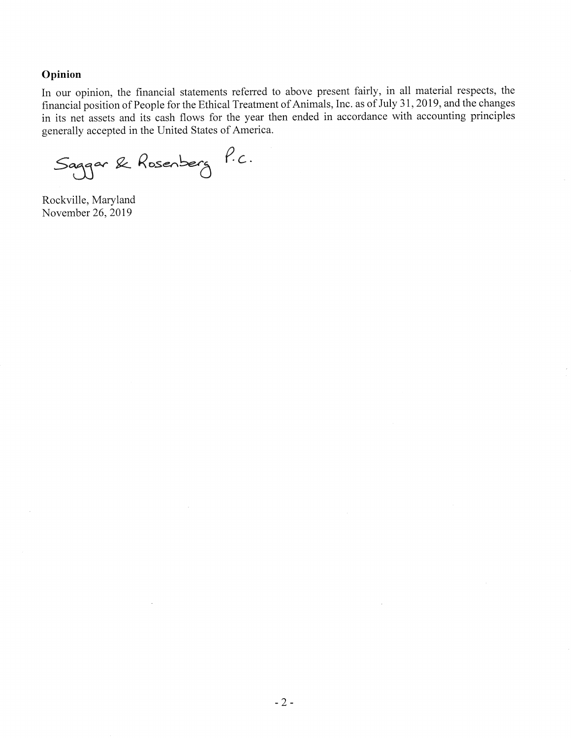#### Opinion

In our opinion, the financial statements referred to above present fairly, in all material respects, the financial position of People for the Ethical Treatment of Animals, Inc. as of July 31, 2019, and the changes in its net assets and its cash flows for the year then ended in accordance with accounting principles generally accepted in the United States of America.

Saggar & Rosenberg P.C.

Rockville, Maryland November 26, 2019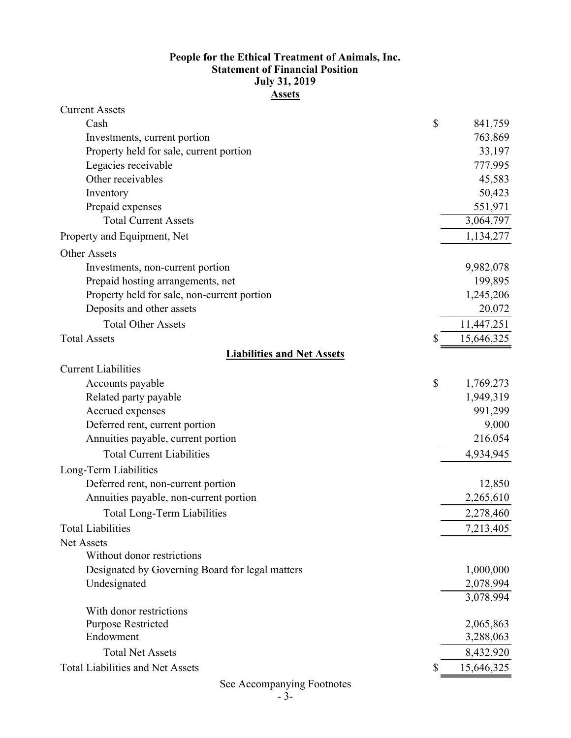## **Statement of Financial Position Assets People for the Ethical Treatment of Animals, Inc. July 31, 2019**

| <b>Current Assets</b>                           |            |
|-------------------------------------------------|------------|
| \$<br>Cash                                      | 841,759    |
| Investments, current portion                    | 763,869    |
| Property held for sale, current portion         | 33,197     |
| Legacies receivable                             | 777,995    |
| Other receivables                               | 45,583     |
| Inventory                                       | 50,423     |
| Prepaid expenses                                | 551,971    |
| <b>Total Current Assets</b>                     | 3,064,797  |
| Property and Equipment, Net                     | 1,134,277  |
| <b>Other Assets</b>                             |            |
| Investments, non-current portion                | 9,982,078  |
| Prepaid hosting arrangements, net               | 199,895    |
| Property held for sale, non-current portion     | 1,245,206  |
| Deposits and other assets                       | 20,072     |
| <b>Total Other Assets</b>                       | 11,447,251 |
| \$<br><b>Total Assets</b>                       | 15,646,325 |
| <b>Liabilities and Net Assets</b>               |            |
| <b>Current Liabilities</b>                      |            |
| \$<br>Accounts payable                          | 1,769,273  |
| Related party payable                           | 1,949,319  |
| Accrued expenses                                | 991,299    |
| Deferred rent, current portion                  | 9,000      |
| Annuities payable, current portion              | 216,054    |
| <b>Total Current Liabilities</b>                | 4,934,945  |
| Long-Term Liabilities                           |            |
| Deferred rent, non-current portion              | 12,850     |
| Annuities payable, non-current portion          | 2,265,610  |
| <b>Total Long-Term Liabilities</b>              | 2,278,460  |
| <b>Total Liabilities</b>                        | 7,213,405  |
| Net Assets                                      |            |
| Without donor restrictions                      |            |
| Designated by Governing Board for legal matters | 1,000,000  |
| Undesignated                                    | 2,078,994  |
|                                                 | 3,078,994  |
| With donor restrictions                         |            |
| <b>Purpose Restricted</b>                       | 2,065,863  |
| Endowment                                       | 3,288,063  |
| <b>Total Net Assets</b>                         | 8,432,920  |
| <b>Total Liabilities and Net Assets</b><br>S    | 15,646,325 |

See Accompanying Footnotes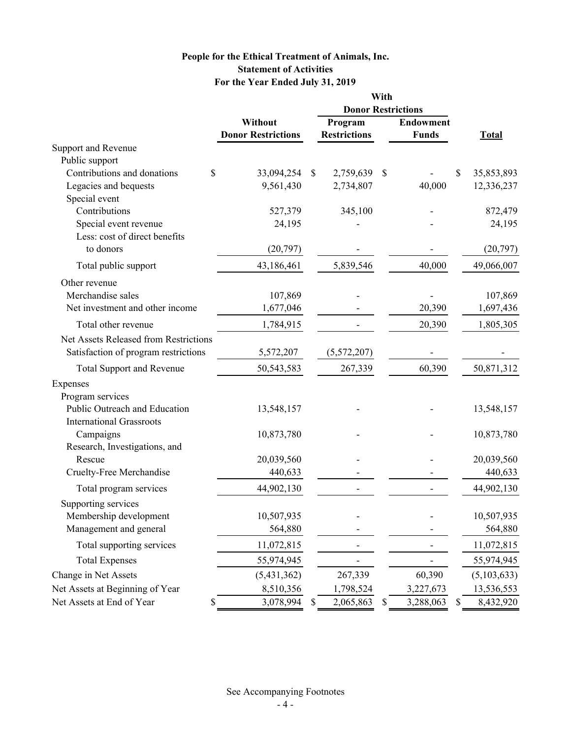## **For the Year Ended July 31, 2019 People for the Ethical Treatment of Animals, Inc. Statement of Activities**

|                                               |                                      |                           | With                           |    |                                  |                                |
|-----------------------------------------------|--------------------------------------|---------------------------|--------------------------------|----|----------------------------------|--------------------------------|
|                                               |                                      |                           |                                |    | <b>Donor Restrictions</b>        |                                |
|                                               | Without<br><b>Donor Restrictions</b> |                           | Program<br><b>Restrictions</b> |    | <b>Endowment</b><br><b>Funds</b> | <b>Total</b>                   |
| Support and Revenue                           |                                      |                           |                                |    |                                  |                                |
| Public support<br>Contributions and donations |                                      |                           |                                |    |                                  |                                |
| \$<br>Legacies and bequests                   | 33,094,254<br>9,561,430              | $\boldsymbol{\mathsf{S}}$ | 2,759,639<br>2,734,807         | \$ | 40,000                           | \$<br>35,853,893<br>12,336,237 |
| Special event                                 |                                      |                           |                                |    |                                  |                                |
| Contributions                                 | 527,379                              |                           | 345,100                        |    |                                  | 872,479                        |
| Special event revenue                         | 24,195                               |                           |                                |    |                                  | 24,195                         |
| Less: cost of direct benefits                 |                                      |                           |                                |    |                                  |                                |
| to donors                                     | (20, 797)                            |                           |                                |    |                                  | (20,797)                       |
| Total public support                          | 43,186,461                           |                           | 5,839,546                      |    | 40,000                           | 49,066,007                     |
| Other revenue                                 |                                      |                           |                                |    |                                  |                                |
| Merchandise sales                             | 107,869                              |                           |                                |    |                                  | 107,869                        |
| Net investment and other income               | 1,677,046                            |                           |                                |    | 20,390                           | 1,697,436                      |
| Total other revenue                           | 1,784,915                            |                           |                                |    | 20,390                           | 1,805,305                      |
| Net Assets Released from Restrictions         |                                      |                           |                                |    |                                  |                                |
| Satisfaction of program restrictions          | 5,572,207                            |                           | (5,572,207)                    |    |                                  |                                |
| <b>Total Support and Revenue</b>              | 50, 543, 583                         |                           | 267,339                        |    | 60,390                           | 50,871,312                     |
| Expenses                                      |                                      |                           |                                |    |                                  |                                |
| Program services                              |                                      |                           |                                |    |                                  |                                |
| Public Outreach and Education                 | 13,548,157                           |                           |                                |    |                                  | 13,548,157                     |
| <b>International Grassroots</b>               |                                      |                           |                                |    |                                  |                                |
| Campaigns                                     | 10,873,780                           |                           |                                |    |                                  | 10,873,780                     |
| Research, Investigations, and                 |                                      |                           |                                |    |                                  |                                |
| Rescue                                        | 20,039,560                           |                           |                                |    |                                  | 20,039,560                     |
| Cruelty-Free Merchandise                      | 440,633                              |                           |                                |    |                                  | 440,633                        |
| Total program services                        | 44,902,130                           |                           |                                |    |                                  | 44,902,130                     |
| Supporting services                           |                                      |                           |                                |    |                                  |                                |
| Membership development                        | 10,507,935                           |                           |                                |    |                                  | 10,507,935                     |
| Management and general                        | 564,880                              |                           |                                |    |                                  | 564,880                        |
| Total supporting services                     | 11,072,815                           |                           |                                |    |                                  | 11,072,815                     |
| <b>Total Expenses</b>                         | 55,974,945                           |                           |                                |    |                                  | 55,974,945                     |
| Change in Net Assets                          | (5,431,362)                          |                           | 267,339                        |    | 60,390                           | (5,103,633)                    |
| Net Assets at Beginning of Year               | 8,510,356                            |                           | 1,798,524                      |    | 3,227,673                        | 13,536,553                     |
| Net Assets at End of Year                     | 3,078,994                            |                           | 2,065,863                      |    | 3,288,063                        | 8,432,920                      |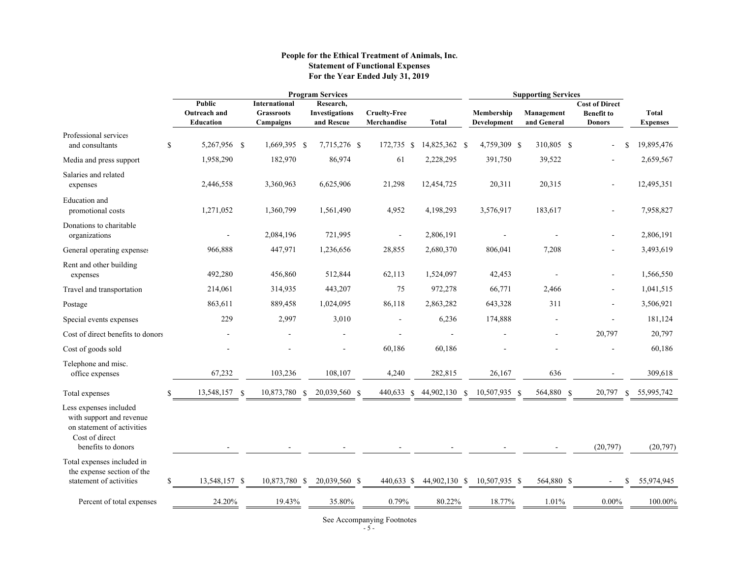#### **People for the Ethical Treatment of Animals, Inc. Statement of Functional Expenses For the Year Ended July 31, 2019**

|                                                                                                                          |     | <b>Program Services</b>                                  |               |                                                        |               |                                                  |                                    | <b>Supporting Services</b> |                    |                                  |  |                           |  |                                                             |                                 |
|--------------------------------------------------------------------------------------------------------------------------|-----|----------------------------------------------------------|---------------|--------------------------------------------------------|---------------|--------------------------------------------------|------------------------------------|----------------------------|--------------------|----------------------------------|--|---------------------------|--|-------------------------------------------------------------|---------------------------------|
|                                                                                                                          |     | <b>Public</b><br><b>Outreach and</b><br><b>Education</b> |               | <b>International</b><br><b>Grassroots</b><br>Campaigns |               | Research,<br><b>Investigations</b><br>and Rescue | <b>Cruelty-Free</b><br>Merchandise | <b>Total</b>               |                    | Membership<br><b>Development</b> |  | Management<br>and General |  | <b>Cost of Direct</b><br><b>Benefit to</b><br><b>Donors</b> | <b>Total</b><br><b>Expenses</b> |
| Professional services<br>and consultants                                                                                 | \$  | 5,267,956 \$                                             |               | 1,669,395 \$                                           |               | 7,715,276 \$                                     | 172,735<br>-S                      | 14,825,362 \$              |                    | 4,759,309 \$                     |  | 310,805 \$                |  |                                                             | 19,895,476                      |
| Media and press support                                                                                                  |     | 1,958,290                                                |               | 182,970                                                |               | 86,974                                           | 61                                 | 2,228,295                  |                    | 391,750                          |  | 39,522                    |  |                                                             | 2,659,567                       |
| Salaries and related<br>expenses                                                                                         |     | 2,446,558                                                |               | 3,360,963                                              |               | 6,625,906                                        | 21,298                             | 12,454,725                 |                    | 20,311                           |  | 20,315                    |  |                                                             | 12,495,351                      |
| <b>Education</b> and<br>promotional costs                                                                                |     | 1,271,052                                                |               | 1,360,799                                              |               | 1,561,490                                        | 4,952                              | 4,198,293                  |                    | 3,576,917                        |  | 183,617                   |  |                                                             | 7,958,827                       |
| Donations to charitable<br>organizations                                                                                 |     |                                                          |               | 2,084,196                                              |               | 721,995                                          |                                    | 2,806,191                  |                    |                                  |  |                           |  |                                                             | 2,806,191                       |
| General operating expenses                                                                                               |     | 966,888                                                  |               | 447,971                                                |               | 1,236,656                                        | 28,855                             | 2,680,370                  |                    | 806,041                          |  | 7,208                     |  |                                                             | 3,493,619                       |
| Rent and other building<br>expenses                                                                                      |     | 492,280                                                  |               | 456,860                                                |               | 512,844                                          | 62,113                             | 1,524,097                  |                    | 42,453                           |  |                           |  |                                                             | 1,566,550                       |
| Travel and transportation                                                                                                |     | 214,061                                                  |               | 314,935                                                |               | 443,207                                          | 75                                 | 972,278                    |                    | 66,771                           |  | 2,466                     |  |                                                             | 1,041,515                       |
| Postage                                                                                                                  |     | 863,611                                                  |               | 889,458                                                |               | 1,024,095                                        | 86,118                             | 2,863,282                  |                    | 643,328                          |  | 311                       |  | $\overline{a}$                                              | 3,506,921                       |
| Special events expenses                                                                                                  |     | 229                                                      |               | 2,997                                                  |               | 3,010                                            |                                    | 6,236                      |                    | 174,888                          |  |                           |  |                                                             | 181,124                         |
| Cost of direct benefits to donors                                                                                        |     |                                                          |               |                                                        |               |                                                  |                                    |                            |                    |                                  |  |                           |  | 20,797                                                      | 20,797                          |
| Cost of goods sold                                                                                                       |     |                                                          |               |                                                        |               |                                                  | 60,186                             | 60,186                     |                    |                                  |  |                           |  |                                                             | 60,186                          |
| Telephone and misc.<br>office expenses                                                                                   |     | 67,232                                                   |               | 103,236                                                |               | 108,107                                          | 4,240                              | 282,815                    |                    | 26,167                           |  | 636                       |  |                                                             | 309,618                         |
| Total expenses                                                                                                           | \$. | 13,548,157                                               | $\mathcal{S}$ | 10,873,780                                             | $\mathcal{S}$ | 20,039,560 \$                                    | 440,633<br>$\mathbf{\$}$           | 44,902,130                 | $\mathbf{\hat{s}}$ | 10,507,935 \$                    |  | 564,880 \$                |  | 20,797<br>$\mathbf{s}$                                      | 55,995,742                      |
| Less expenses included<br>with support and revenue<br>on statement of activities<br>Cost of direct<br>benefits to donors |     |                                                          |               |                                                        |               |                                                  |                                    |                            |                    |                                  |  |                           |  | (20, 797)                                                   | (20,797)                        |
| Total expenses included in<br>the expense section of the<br>statement of activities                                      | \$  | 13,548,157 \$                                            |               | 10,873,780 \$                                          |               | 20,039,560 \$                                    | 440,633 \$                         | 44,902,130 \$              |                    | 10,507,935 \$                    |  | 564,880 \$                |  | S                                                           | 55,974,945                      |
|                                                                                                                          |     |                                                          |               |                                                        |               |                                                  |                                    |                            |                    |                                  |  |                           |  |                                                             |                                 |
| Percent of total expenses                                                                                                |     | 24.20%                                                   |               | 19.43%                                                 |               | 35.80%                                           | 0.79%                              | 80.22%                     |                    | 18.77%                           |  | 1.01%                     |  | $0.00\%$                                                    | 100.00%                         |

See Accompanying Footnotes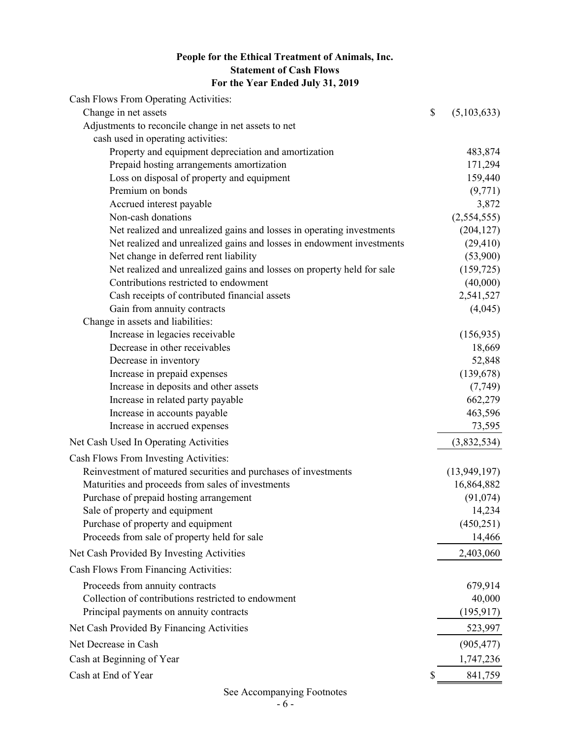## **People for the Ethical Treatment of Animals, Inc. Statement of Cash Flows For the Year Ended July 31, 2019**

| Cash Flows From Operating Activities:                                  |                   |
|------------------------------------------------------------------------|-------------------|
| Change in net assets                                                   | \$<br>(5,103,633) |
| Adjustments to reconcile change in net assets to net                   |                   |
| cash used in operating activities:                                     |                   |
| Property and equipment depreciation and amortization                   | 483,874           |
| Prepaid hosting arrangements amortization                              | 171,294           |
| Loss on disposal of property and equipment                             | 159,440           |
| Premium on bonds                                                       | (9, 771)          |
| Accrued interest payable                                               | 3,872             |
| Non-cash donations                                                     | (2,554,555)       |
| Net realized and unrealized gains and losses in operating investments  | (204, 127)        |
| Net realized and unrealized gains and losses in endowment investments  | (29, 410)         |
| Net change in deferred rent liability                                  | (53,900)          |
| Net realized and unrealized gains and losses on property held for sale | (159, 725)        |
| Contributions restricted to endowment                                  | (40,000)          |
| Cash receipts of contributed financial assets                          | 2,541,527         |
| Gain from annuity contracts                                            | (4,045)           |
| Change in assets and liabilities:                                      |                   |
| Increase in legacies receivable                                        | (156, 935)        |
| Decrease in other receivables                                          | 18,669            |
| Decrease in inventory                                                  | 52,848            |
| Increase in prepaid expenses                                           | (139, 678)        |
| Increase in deposits and other assets                                  | (7, 749)          |
| Increase in related party payable                                      | 662,279           |
| Increase in accounts payable                                           | 463,596           |
| Increase in accrued expenses                                           | 73,595            |
| Net Cash Used In Operating Activities                                  | (3,832,534)       |
| Cash Flows From Investing Activities:                                  |                   |
| Reinvestment of matured securities and purchases of investments        | (13, 949, 197)    |
| Maturities and proceeds from sales of investments                      | 16,864,882        |
| Purchase of prepaid hosting arrangement                                | (91,074)          |
| Sale of property and equipment                                         | 14,234            |
| Purchase of property and equipment                                     | (450,251)         |
| Proceeds from sale of property held for sale                           | 14,466            |
| Net Cash Provided By Investing Activities                              | 2,403,060         |
| Cash Flows From Financing Activities:                                  |                   |
| Proceeds from annuity contracts                                        | 679,914           |
| Collection of contributions restricted to endowment                    | 40,000            |
| Principal payments on annuity contracts                                | (195, 917)        |
| Net Cash Provided By Financing Activities                              | 523,997           |
| Net Decrease in Cash                                                   | (905, 477)        |
| Cash at Beginning of Year                                              | 1,747,236         |
| Cash at End of Year                                                    | \$<br>841,759     |

## See Accompanying Footnotes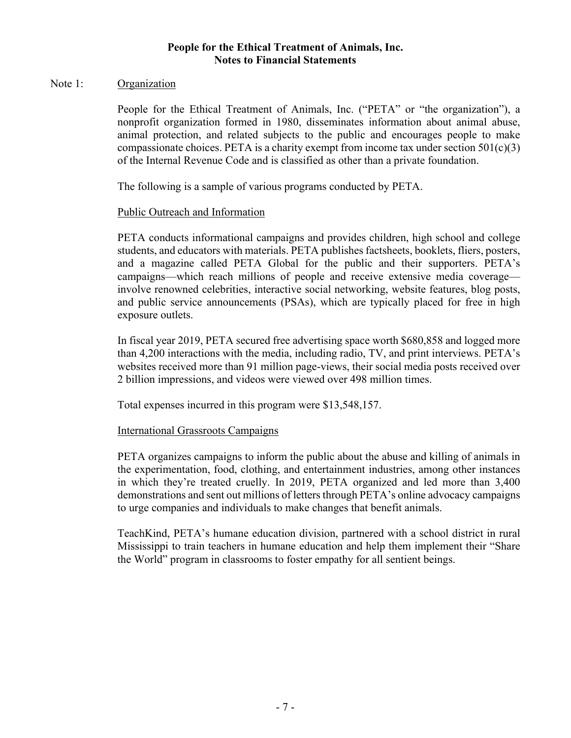#### Note 1: Organization

People for the Ethical Treatment of Animals, Inc. ("PETA" or "the organization"), a nonprofit organization formed in 1980, disseminates information about animal abuse, animal protection, and related subjects to the public and encourages people to make compassionate choices. PETA is a charity exempt from income tax under section  $501(c)(3)$ of the Internal Revenue Code and is classified as other than a private foundation.

The following is a sample of various programs conducted by PETA.

## Public Outreach and Information

PETA conducts informational campaigns and provides children, high school and college students, and educators with materials. PETA publishes factsheets, booklets, fliers, posters, and a magazine called PETA Global for the public and their supporters. PETA's campaigns—which reach millions of people and receive extensive media coverage involve renowned celebrities, interactive social networking, website features, blog posts, and public service announcements (PSAs), which are typically placed for free in high exposure outlets.

In fiscal year 2019, PETA secured free advertising space worth \$680,858 and logged more than 4,200 interactions with the media, including radio, TV, and print interviews. PETA's websites received more than 91 million page-views, their social media posts received over 2 billion impressions, and videos were viewed over 498 million times.

Total expenses incurred in this program were \$13,548,157.

#### International Grassroots Campaigns

PETA organizes campaigns to inform the public about the abuse and killing of animals in the experimentation, food, clothing, and entertainment industries, among other instances in which they're treated cruelly. In 2019, PETA organized and led more than 3,400 demonstrations and sent out millions of letters through PETA's online advocacy campaigns to urge companies and individuals to make changes that benefit animals.

TeachKind, PETA's humane education division, partnered with a school district in rural Mississippi to train teachers in humane education and help them implement their "Share the World" program in classrooms to foster empathy for all sentient beings.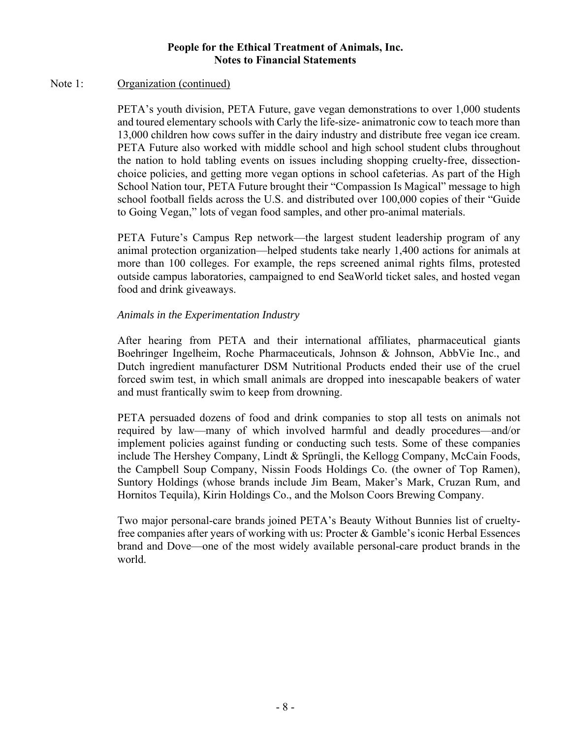#### Note 1: Organization (continued)

PETA's youth division, PETA Future, gave vegan demonstrations to over 1,000 students and toured elementary schools with Carly the life-size- animatronic cow to teach more than 13,000 children how cows suffer in the dairy industry and distribute free vegan ice cream. PETA Future also worked with middle school and high school student clubs throughout the nation to hold tabling events on issues including shopping cruelty-free, dissectionchoice policies, and getting more vegan options in school cafeterias. As part of the High School Nation tour, PETA Future brought their "Compassion Is Magical" message to high school football fields across the U.S. and distributed over 100,000 copies of their "Guide to Going Vegan," lots of vegan food samples, and other pro-animal materials.

PETA Future's Campus Rep network—the largest student leadership program of any animal protection organization—helped students take nearly 1,400 actions for animals at more than 100 colleges. For example, the reps screened animal rights films, protested outside campus laboratories, campaigned to end SeaWorld ticket sales, and hosted vegan food and drink giveaways.

## *Animals in the Experimentation Industry*

After hearing from PETA and their international affiliates, pharmaceutical giants Boehringer Ingelheim, Roche Pharmaceuticals, Johnson & Johnson, AbbVie Inc., and Dutch ingredient manufacturer DSM Nutritional Products ended their use of the cruel forced swim test, in which small animals are dropped into inescapable beakers of water and must frantically swim to keep from drowning.

PETA persuaded dozens of food and drink companies to stop all tests on animals not required by law—many of which involved harmful and deadly procedures—and/or implement policies against funding or conducting such tests. Some of these companies include The Hershey Company, Lindt & Sprüngli, the Kellogg Company, McCain Foods, the Campbell Soup Company, Nissin Foods Holdings Co. (the owner of Top Ramen), Suntory Holdings (whose brands include Jim Beam, Maker's Mark, Cruzan Rum, and Hornitos Tequila), Kirin Holdings Co., and the Molson Coors Brewing Company.

Two major personal-care brands joined PETA's Beauty Without Bunnies list of crueltyfree companies after years of working with us: Procter & Gamble's iconic Herbal Essences brand and Dove—one of the most widely available personal-care product brands in the world.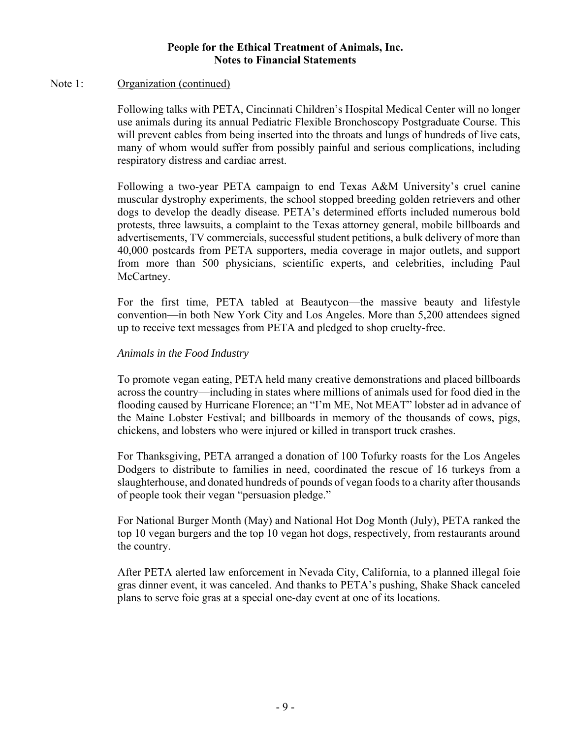#### Note 1: Organization (continued)

Following talks with PETA, Cincinnati Children's Hospital Medical Center will no longer use animals during its annual Pediatric Flexible Bronchoscopy Postgraduate Course. This will prevent cables from being inserted into the throats and lungs of hundreds of live cats, many of whom would suffer from possibly painful and serious complications, including respiratory distress and cardiac arrest.

Following a two-year PETA campaign to end Texas A&M University's cruel canine muscular dystrophy experiments, the school stopped breeding golden retrievers and other dogs to develop the deadly disease. PETA's determined efforts included numerous bold protests, three lawsuits, a complaint to the Texas attorney general, mobile billboards and advertisements, TV commercials, successful student petitions, a bulk delivery of more than 40,000 postcards from PETA supporters, media coverage in major outlets, and support from more than 500 physicians, scientific experts, and celebrities, including Paul McCartney.

For the first time, PETA tabled at Beautycon—the massive beauty and lifestyle convention—in both New York City and Los Angeles. More than 5,200 attendees signed up to receive text messages from PETA and pledged to shop cruelty-free.

## *Animals in the Food Industry*

To promote vegan eating, PETA held many creative demonstrations and placed billboards across the country—including in states where millions of animals used for food died in the flooding caused by Hurricane Florence; an "I'm ME, Not MEAT" lobster ad in advance of the Maine Lobster Festival; and billboards in memory of the thousands of cows, pigs, chickens, and lobsters who were injured or killed in transport truck crashes.

For Thanksgiving, PETA arranged a donation of 100 Tofurky roasts for the Los Angeles Dodgers to distribute to families in need, coordinated the rescue of 16 turkeys from a slaughterhouse, and donated hundreds of pounds of vegan foods to a charity after thousands of people took their vegan "persuasion pledge."

For National Burger Month (May) and National Hot Dog Month (July), PETA ranked the top 10 vegan burgers and the top 10 vegan hot dogs, respectively, from restaurants around the country.

After PETA alerted law enforcement in Nevada City, California, to a planned illegal foie gras dinner event, it was canceled. And thanks to PETA's pushing, Shake Shack canceled plans to serve foie gras at a special one-day event at one of its locations.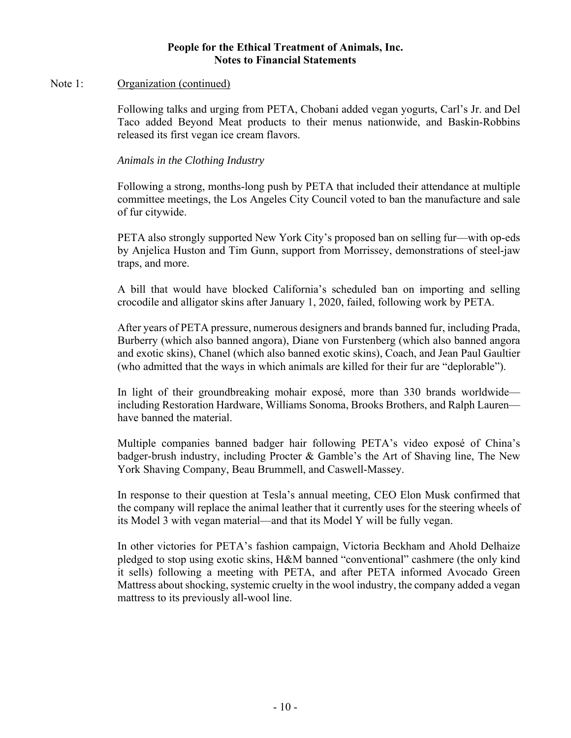#### Note 1: Organization (continued)

Following talks and urging from PETA, Chobani added vegan yogurts, Carl's Jr. and Del Taco added Beyond Meat products to their menus nationwide, and Baskin-Robbins released its first vegan ice cream flavors.

*Animals in the Clothing Industry* 

Following a strong, months-long push by PETA that included their attendance at multiple committee meetings, the Los Angeles City Council voted to ban the manufacture and sale of fur citywide.

PETA also strongly supported New York City's proposed ban on selling fur—with op-eds by Anjelica Huston and Tim Gunn, support from Morrissey, demonstrations of steel-jaw traps, and more.

A bill that would have blocked California's scheduled ban on importing and selling crocodile and alligator skins after January 1, 2020, failed, following work by PETA.

After years of PETA pressure, numerous designers and brands banned fur, including Prada, Burberry (which also banned angora), Diane von Furstenberg (which also banned angora and exotic skins), Chanel (which also banned exotic skins), Coach, and Jean Paul Gaultier (who admitted that the ways in which animals are killed for their fur are "deplorable").

In light of their groundbreaking mohair exposé, more than 330 brands worldwide including Restoration Hardware, Williams Sonoma, Brooks Brothers, and Ralph Lauren have banned the material.

Multiple companies banned badger hair following PETA's video exposé of China's badger-brush industry, including Procter & Gamble's the Art of Shaving line, The New York Shaving Company, Beau Brummell, and Caswell-Massey.

In response to their question at Tesla's annual meeting, CEO Elon Musk confirmed that the company will replace the animal leather that it currently uses for the steering wheels of its Model 3 with vegan material—and that its Model Y will be fully vegan.

In other victories for PETA's fashion campaign, Victoria Beckham and Ahold Delhaize pledged to stop using exotic skins, H&M banned "conventional" cashmere (the only kind it sells) following a meeting with PETA, and after PETA informed Avocado Green Mattress about shocking, systemic cruelty in the wool industry, the company added a vegan mattress to its previously all-wool line.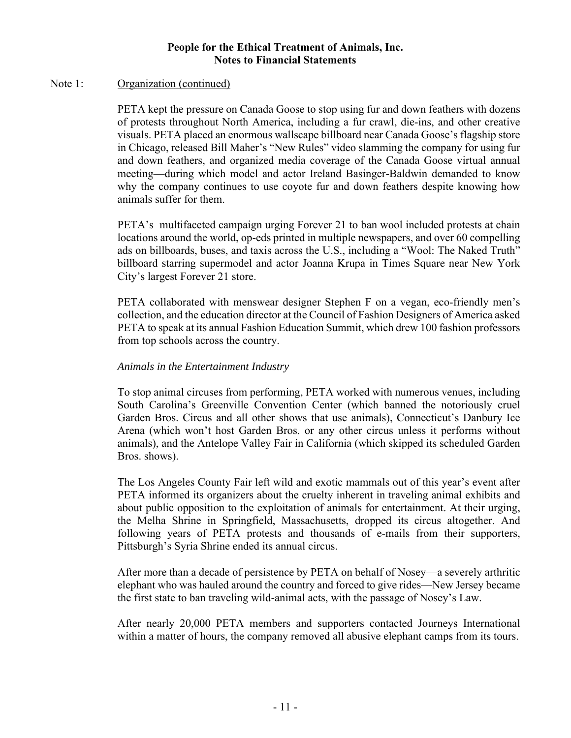#### Note 1: Organization (continued)

PETA kept the pressure on Canada Goose to stop using fur and down feathers with dozens of protests throughout North America, including a fur crawl, die-ins, and other creative visuals. PETA placed an enormous wallscape billboard near Canada Goose's flagship store in Chicago, released Bill Maher's "New Rules" video slamming the company for using fur and down feathers, and organized media coverage of the Canada Goose virtual annual meeting—during which model and actor Ireland Basinger-Baldwin demanded to know why the company continues to use coyote fur and down feathers despite knowing how animals suffer for them.

PETA's multifaceted campaign urging Forever 21 to ban wool included protests at chain locations around the world, op-eds printed in multiple newspapers, and over 60 compelling ads on billboards, buses, and taxis across the U.S., including a "Wool: The Naked Truth" billboard starring supermodel and actor Joanna Krupa in Times Square near New York City's largest Forever 21 store.

PETA collaborated with menswear designer Stephen F on a vegan, eco-friendly men's collection, and the education director at the Council of Fashion Designers of America asked PETA to speak at its annual Fashion Education Summit, which drew 100 fashion professors from top schools across the country.

## *Animals in the Entertainment Industry*

To stop animal circuses from performing, PETA worked with numerous venues, including South Carolina's Greenville Convention Center (which banned the notoriously cruel Garden Bros. Circus and all other shows that use animals), Connecticut's Danbury Ice Arena (which won't host Garden Bros. or any other circus unless it performs without animals), and the Antelope Valley Fair in California (which skipped its scheduled Garden Bros. shows).

The Los Angeles County Fair left wild and exotic mammals out of this year's event after PETA informed its organizers about the cruelty inherent in traveling animal exhibits and about public opposition to the exploitation of animals for entertainment. At their urging, the Melha Shrine in Springfield, Massachusetts, dropped its circus altogether. And following years of PETA protests and thousands of e-mails from their supporters, Pittsburgh's Syria Shrine ended its annual circus.

After more than a decade of persistence by PETA on behalf of Nosey—a severely arthritic elephant who was hauled around the country and forced to give rides—New Jersey became the first state to ban traveling wild-animal acts, with the passage of Nosey's Law.

After nearly 20,000 PETA members and supporters contacted Journeys International within a matter of hours, the company removed all abusive elephant camps from its tours.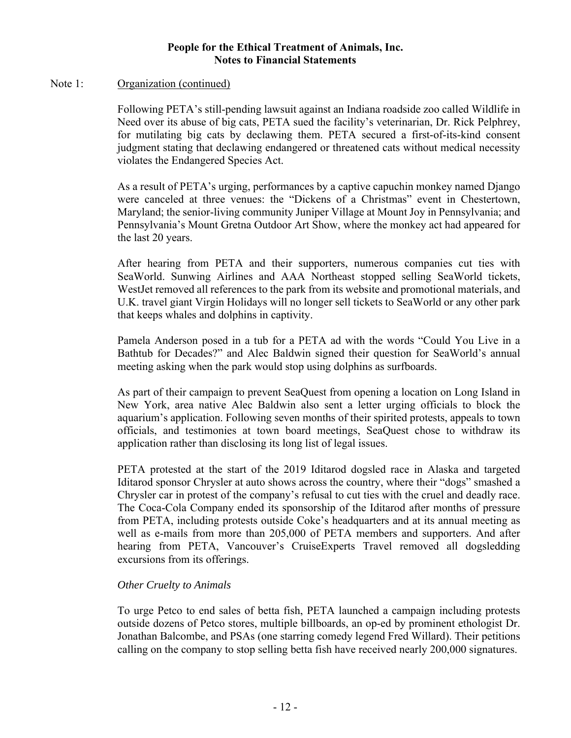#### Note 1: Organization (continued)

Following PETA's still-pending lawsuit against an Indiana roadside zoo called Wildlife in Need over its abuse of big cats, PETA sued the facility's veterinarian, Dr. Rick Pelphrey, for mutilating big cats by declawing them. PETA secured a first-of-its-kind consent judgment stating that declawing endangered or threatened cats without medical necessity violates the Endangered Species Act.

As a result of PETA's urging, performances by a captive capuchin monkey named Django were canceled at three venues: the "Dickens of a Christmas" event in Chestertown, Maryland; the senior-living community Juniper Village at Mount Joy in Pennsylvania; and Pennsylvania's Mount Gretna Outdoor Art Show, where the monkey act had appeared for the last 20 years.

After hearing from PETA and their supporters, numerous companies cut ties with SeaWorld. Sunwing Airlines and AAA Northeast stopped selling SeaWorld tickets, WestJet removed all references to the park from its website and promotional materials, and U.K. travel giant Virgin Holidays will no longer sell tickets to SeaWorld or any other park that keeps whales and dolphins in captivity.

Pamela Anderson posed in a tub for a PETA ad with the words "Could You Live in a Bathtub for Decades?" and Alec Baldwin signed their question for SeaWorld's annual meeting asking when the park would stop using dolphins as surfboards.

As part of their campaign to prevent SeaQuest from opening a location on Long Island in New York, area native Alec Baldwin also sent a letter urging officials to block the aquarium's application. Following seven months of their spirited protests, appeals to town officials, and testimonies at town board meetings, SeaQuest chose to withdraw its application rather than disclosing its long list of legal issues.

PETA protested at the start of the 2019 Iditarod dogsled race in Alaska and targeted Iditarod sponsor Chrysler at auto shows across the country, where their "dogs" smashed a Chrysler car in protest of the company's refusal to cut ties with the cruel and deadly race. The Coca-Cola Company ended its sponsorship of the Iditarod after months of pressure from PETA, including protests outside Coke's headquarters and at its annual meeting as well as e-mails from more than 205,000 of PETA members and supporters. And after hearing from PETA, Vancouver's CruiseExperts Travel removed all dogsledding excursions from its offerings.

#### *Other Cruelty to Animals*

To urge Petco to end sales of betta fish, PETA launched a campaign including protests outside dozens of Petco stores, multiple billboards, an op-ed by prominent ethologist Dr. Jonathan Balcombe, and PSAs (one starring comedy legend Fred Willard). Their petitions calling on the company to stop selling betta fish have received nearly 200,000 signatures.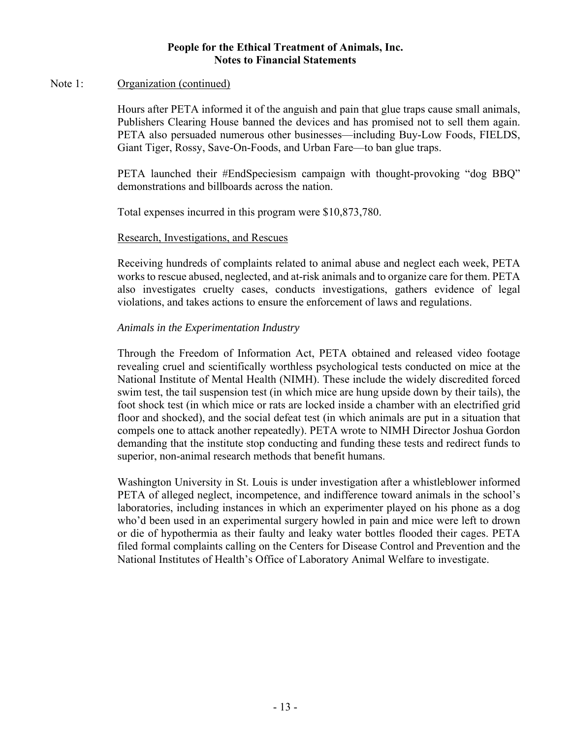#### Note 1: Organization (continued)

Hours after PETA informed it of the anguish and pain that glue traps cause small animals, Publishers Clearing House banned the devices and has promised not to sell them again. PETA also persuaded numerous other businesses—including Buy-Low Foods, FIELDS, Giant Tiger, Rossy, Save-On-Foods, and Urban Fare—to ban glue traps.

PETA launched their #EndSpeciesism campaign with thought-provoking "dog BBQ" demonstrations and billboards across the nation.

Total expenses incurred in this program were \$10,873,780.

#### Research, Investigations, and Rescues

Receiving hundreds of complaints related to animal abuse and neglect each week, PETA works to rescue abused, neglected, and at-risk animals and to organize care for them. PETA also investigates cruelty cases, conducts investigations, gathers evidence of legal violations, and takes actions to ensure the enforcement of laws and regulations.

## *Animals in the Experimentation Industry*

Through the Freedom of Information Act, PETA obtained and released video footage revealing cruel and scientifically worthless psychological tests conducted on mice at the National Institute of Mental Health (NIMH). These include the widely discredited forced swim test, the tail suspension test (in which mice are hung upside down by their tails), the foot shock test (in which mice or rats are locked inside a chamber with an electrified grid floor and shocked), and the social defeat test (in which animals are put in a situation that compels one to attack another repeatedly). PETA wrote to NIMH Director Joshua Gordon demanding that the institute stop conducting and funding these tests and redirect funds to superior, non-animal research methods that benefit humans.

Washington University in St. Louis is under investigation after a whistleblower informed PETA of alleged neglect, incompetence, and indifference toward animals in the school's laboratories, including instances in which an experimenter played on his phone as a dog who'd been used in an experimental surgery howled in pain and mice were left to drown or die of hypothermia as their faulty and leaky water bottles flooded their cages. PETA filed formal complaints calling on the Centers for Disease Control and Prevention and the National Institutes of Health's Office of Laboratory Animal Welfare to investigate.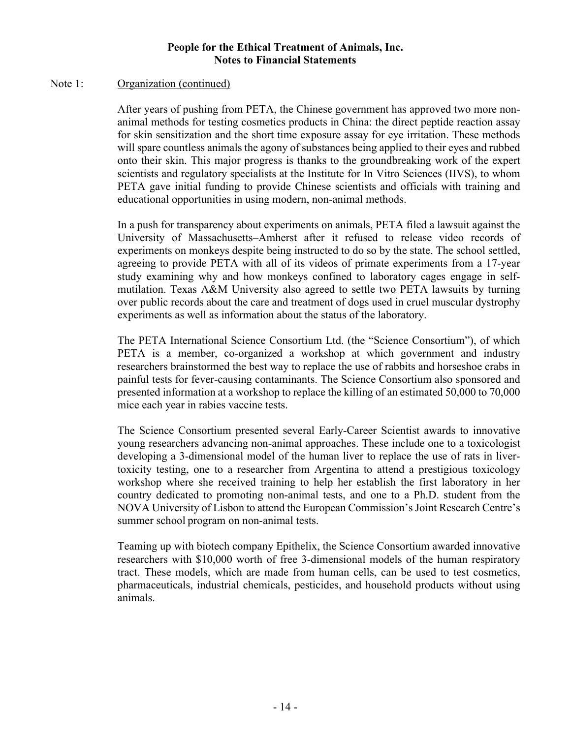#### Note 1: Organization (continued)

After years of pushing from PETA, the Chinese government has approved two more nonanimal methods for testing cosmetics products in China: the direct peptide reaction assay for skin sensitization and the short time exposure assay for eye irritation. These methods will spare countless animals the agony of substances being applied to their eyes and rubbed onto their skin. This major progress is thanks to the groundbreaking work of the expert scientists and regulatory specialists at the Institute for In Vitro Sciences (IIVS), to whom PETA gave initial funding to provide Chinese scientists and officials with training and educational opportunities in using modern, non-animal methods.

In a push for transparency about experiments on animals, PETA filed a lawsuit against the University of Massachusetts–Amherst after it refused to release video records of experiments on monkeys despite being instructed to do so by the state. The school settled, agreeing to provide PETA with all of its videos of primate experiments from a 17-year study examining why and how monkeys confined to laboratory cages engage in selfmutilation. Texas A&M University also agreed to settle two PETA lawsuits by turning over public records about the care and treatment of dogs used in cruel muscular dystrophy experiments as well as information about the status of the laboratory.

The PETA International Science Consortium Ltd. (the "Science Consortium"), of which PETA is a member, co-organized a workshop at which government and industry researchers brainstormed the best way to replace the use of rabbits and horseshoe crabs in painful tests for fever-causing contaminants. The Science Consortium also sponsored and presented information at a workshop to replace the killing of an estimated 50,000 to 70,000 mice each year in rabies vaccine tests.

The Science Consortium presented several Early-Career Scientist awards to innovative young researchers advancing non-animal approaches. These include one to a toxicologist developing a 3-dimensional model of the human liver to replace the use of rats in livertoxicity testing, one to a researcher from Argentina to attend a prestigious toxicology workshop where she received training to help her establish the first laboratory in her country dedicated to promoting non-animal tests, and one to a Ph.D. student from the NOVA University of Lisbon to attend the European Commission's Joint Research Centre's summer school program on non-animal tests.

Teaming up with biotech company Epithelix, the Science Consortium awarded innovative researchers with \$10,000 worth of free 3-dimensional models of the human respiratory tract. These models, which are made from human cells, can be used to test cosmetics, pharmaceuticals, industrial chemicals, pesticides, and household products without using animals.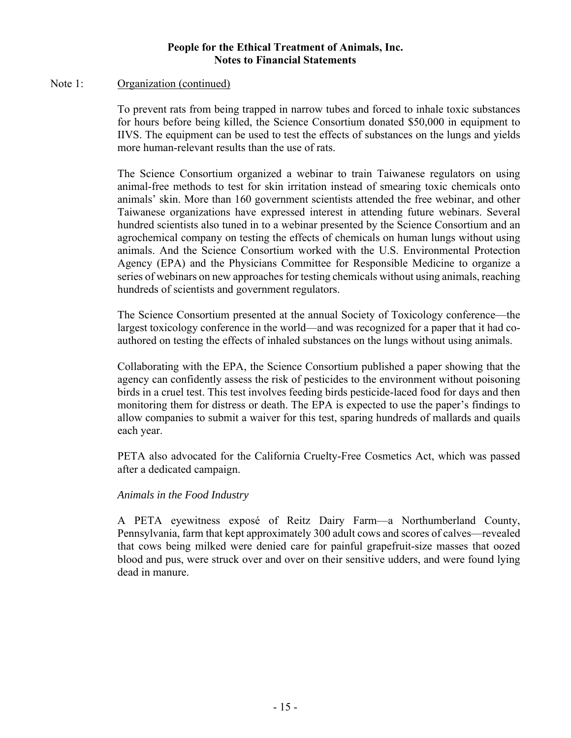#### Note 1: Organization (continued)

To prevent rats from being trapped in narrow tubes and forced to inhale toxic substances for hours before being killed, the Science Consortium donated \$50,000 in equipment to IIVS. The equipment can be used to test the effects of substances on the lungs and yields more human-relevant results than the use of rats.

The Science Consortium organized a webinar to train Taiwanese regulators on using animal-free methods to test for skin irritation instead of smearing toxic chemicals onto animals' skin. More than 160 government scientists attended the free webinar, and other Taiwanese organizations have expressed interest in attending future webinars. Several hundred scientists also tuned in to a webinar presented by the Science Consortium and an agrochemical company on testing the effects of chemicals on human lungs without using animals. And the Science Consortium worked with the U.S. Environmental Protection Agency (EPA) and the Physicians Committee for Responsible Medicine to organize a series of webinars on new approaches for testing chemicals without using animals, reaching hundreds of scientists and government regulators.

The Science Consortium presented at the annual Society of Toxicology conference—the largest toxicology conference in the world—and was recognized for a paper that it had coauthored on testing the effects of inhaled substances on the lungs without using animals.

Collaborating with the EPA, the Science Consortium published a paper showing that the agency can confidently assess the risk of pesticides to the environment without poisoning birds in a cruel test. This test involves feeding birds pesticide-laced food for days and then monitoring them for distress or death. The EPA is expected to use the paper's findings to allow companies to submit a waiver for this test, sparing hundreds of mallards and quails each year.

PETA also advocated for the California Cruelty-Free Cosmetics Act, which was passed after a dedicated campaign.

#### *Animals in the Food Industry*

A PETA eyewitness exposé of Reitz Dairy Farm—a Northumberland County, Pennsylvania, farm that kept approximately 300 adult cows and scores of calves—revealed that cows being milked were denied care for painful grapefruit-size masses that oozed blood and pus, were struck over and over on their sensitive udders, and were found lying dead in manure.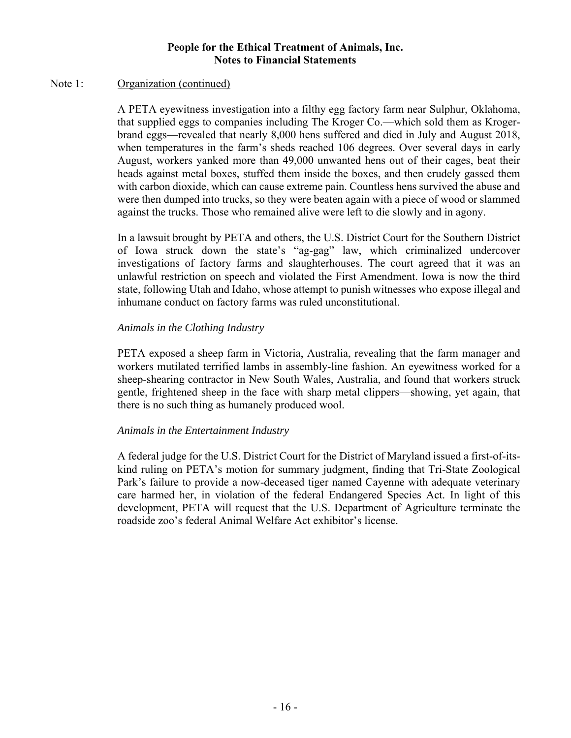#### Note 1: Organization (continued)

A PETA eyewitness investigation into a filthy egg factory farm near Sulphur, Oklahoma, that supplied eggs to companies including The Kroger Co.—which sold them as Krogerbrand eggs—revealed that nearly 8,000 hens suffered and died in July and August 2018, when temperatures in the farm's sheds reached 106 degrees. Over several days in early August, workers yanked more than 49,000 unwanted hens out of their cages, beat their heads against metal boxes, stuffed them inside the boxes, and then crudely gassed them with carbon dioxide, which can cause extreme pain. Countless hens survived the abuse and were then dumped into trucks, so they were beaten again with a piece of wood or slammed against the trucks. Those who remained alive were left to die slowly and in agony.

In a lawsuit brought by PETA and others, the U.S. District Court for the Southern District of Iowa struck down the state's "ag-gag" law, which criminalized undercover investigations of factory farms and slaughterhouses. The court agreed that it was an unlawful restriction on speech and violated the First Amendment. Iowa is now the third state, following Utah and Idaho, whose attempt to punish witnesses who expose illegal and inhumane conduct on factory farms was ruled unconstitutional.

## *Animals in the Clothing Industry*

PETA exposed a sheep farm in Victoria, Australia, revealing that the farm manager and workers mutilated terrified lambs in assembly-line fashion. An eyewitness worked for a sheep-shearing contractor in New South Wales, Australia, and found that workers struck gentle, frightened sheep in the face with sharp metal clippers—showing, yet again, that there is no such thing as humanely produced wool.

## *Animals in the Entertainment Industry*

A federal judge for the U.S. District Court for the District of Maryland issued a first-of-itskind ruling on PETA's motion for summary judgment, finding that Tri-State Zoological Park's failure to provide a now-deceased tiger named Cayenne with adequate veterinary care harmed her, in violation of the federal Endangered Species Act. In light of this development, PETA will request that the U.S. Department of Agriculture terminate the roadside zoo's federal Animal Welfare Act exhibitor's license.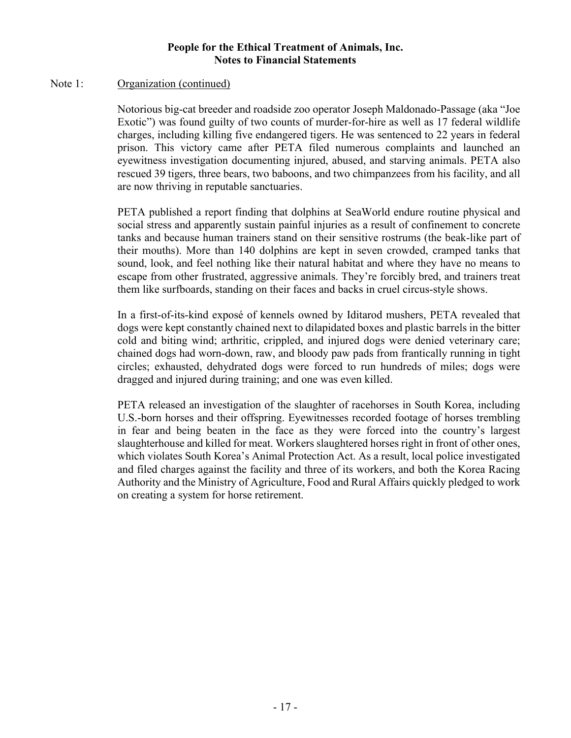#### Note 1: Organization (continued)

Notorious big-cat breeder and roadside zoo operator Joseph Maldonado-Passage (aka "Joe Exotic") was found guilty of two counts of murder-for-hire as well as 17 federal wildlife charges, including killing five endangered tigers. He was sentenced to 22 years in federal prison. This victory came after PETA filed numerous complaints and launched an eyewitness investigation documenting injured, abused, and starving animals. PETA also rescued 39 tigers, three bears, two baboons, and two chimpanzees from his facility, and all are now thriving in reputable sanctuaries.

PETA published a report finding that dolphins at SeaWorld endure routine physical and social stress and apparently sustain painful injuries as a result of confinement to concrete tanks and because human trainers stand on their sensitive rostrums (the beak-like part of their mouths). More than 140 dolphins are kept in seven crowded, cramped tanks that sound, look, and feel nothing like their natural habitat and where they have no means to escape from other frustrated, aggressive animals. They're forcibly bred, and trainers treat them like surfboards, standing on their faces and backs in cruel circus-style shows.

In a first-of-its-kind exposé of kennels owned by Iditarod mushers, PETA revealed that dogs were kept constantly chained next to dilapidated boxes and plastic barrels in the bitter cold and biting wind; arthritic, crippled, and injured dogs were denied veterinary care; chained dogs had worn-down, raw, and bloody paw pads from frantically running in tight circles; exhausted, dehydrated dogs were forced to run hundreds of miles; dogs were dragged and injured during training; and one was even killed.

PETA released an investigation of the slaughter of racehorses in South Korea, including U.S.-born horses and their offspring. Eyewitnesses recorded footage of horses trembling in fear and being beaten in the face as they were forced into the country's largest slaughterhouse and killed for meat. Workers slaughtered horses right in front of other ones, which violates South Korea's Animal Protection Act. As a result, local police investigated and filed charges against the facility and three of its workers, and both the Korea Racing Authority and the Ministry of Agriculture, Food and Rural Affairs quickly pledged to work on creating a system for horse retirement.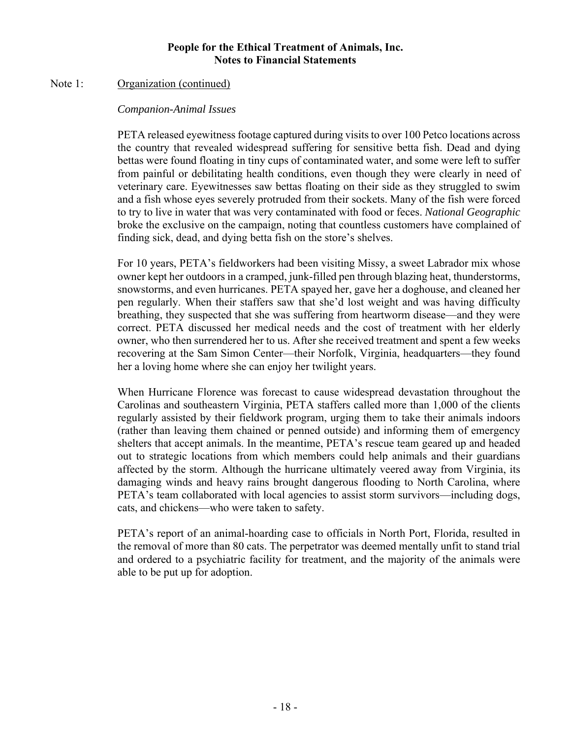#### Note 1: Organization (continued)

#### *Companion-Animal Issues*

PETA released eyewitness footage captured during visits to over 100 Petco locations across the country that revealed widespread suffering for sensitive betta fish. Dead and dying bettas were found floating in tiny cups of contaminated water, and some were left to suffer from painful or debilitating health conditions, even though they were clearly in need of veterinary care. Eyewitnesses saw bettas floating on their side as they struggled to swim and a fish whose eyes severely protruded from their sockets. Many of the fish were forced to try to live in water that was very contaminated with food or feces. *National Geographic* broke the exclusive on the campaign, noting that countless customers have complained of finding sick, dead, and dying betta fish on the store's shelves.

For 10 years, PETA's fieldworkers had been visiting Missy, a sweet Labrador mix whose owner kept her outdoors in a cramped, junk-filled pen through blazing heat, thunderstorms, snowstorms, and even hurricanes. PETA spayed her, gave her a doghouse, and cleaned her pen regularly. When their staffers saw that she'd lost weight and was having difficulty breathing, they suspected that she was suffering from heartworm disease—and they were correct. PETA discussed her medical needs and the cost of treatment with her elderly owner, who then surrendered her to us. After she received treatment and spent a few weeks recovering at the Sam Simon Center—their Norfolk, Virginia, headquarters—they found her a loving home where she can enjoy her twilight years.

When Hurricane Florence was forecast to cause widespread devastation throughout the Carolinas and southeastern Virginia, PETA staffers called more than 1,000 of the clients regularly assisted by their fieldwork program, urging them to take their animals indoors (rather than leaving them chained or penned outside) and informing them of emergency shelters that accept animals. In the meantime, PETA's rescue team geared up and headed out to strategic locations from which members could help animals and their guardians affected by the storm. Although the hurricane ultimately veered away from Virginia, its damaging winds and heavy rains brought dangerous flooding to North Carolina, where PETA's team collaborated with local agencies to assist storm survivors—including dogs, cats, and chickens—who were taken to safety.

PETA's report of an animal-hoarding case to officials in North Port, Florida, resulted in the removal of more than 80 cats. The perpetrator was deemed mentally unfit to stand trial and ordered to a psychiatric facility for treatment, and the majority of the animals were able to be put up for adoption.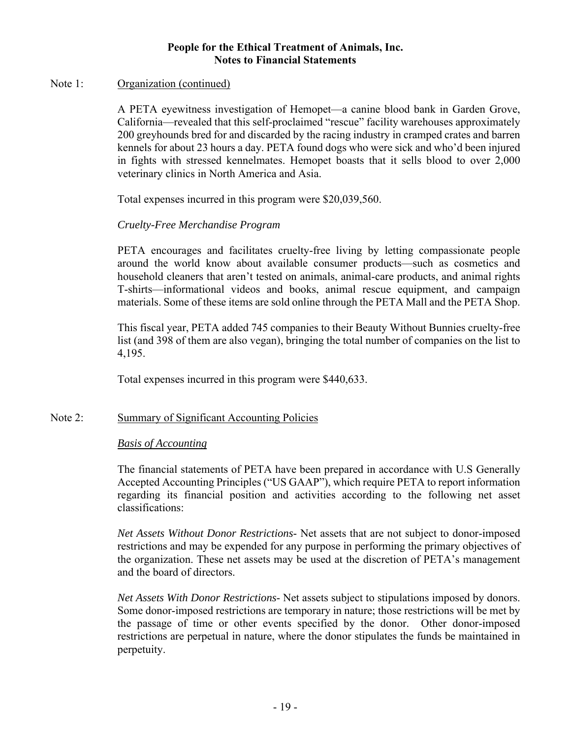#### Note 1: Organization (continued)

A PETA eyewitness investigation of Hemopet—a canine blood bank in Garden Grove, California—revealed that this self-proclaimed "rescue" facility warehouses approximately 200 greyhounds bred for and discarded by the racing industry in cramped crates and barren kennels for about 23 hours a day. PETA found dogs who were sick and who'd been injured in fights with stressed kennelmates. Hemopet boasts that it sells blood to over 2,000 veterinary clinics in North America and Asia.

Total expenses incurred in this program were \$20,039,560.

## *Cruelty-Free Merchandise Program*

PETA encourages and facilitates cruelty-free living by letting compassionate people around the world know about available consumer products—such as cosmetics and household cleaners that aren't tested on animals, animal-care products, and animal rights T-shirts—informational videos and books, animal rescue equipment, and campaign materials. Some of these items are sold online through the PETA Mall and the PETA Shop.

This fiscal year, PETA added 745 companies to their Beauty Without Bunnies cruelty-free list (and 398 of them are also vegan), bringing the total number of companies on the list to 4,195.

Total expenses incurred in this program were \$440,633.

## Note 2: Summary of Significant Accounting Policies

#### *Basis of Accounting*

The financial statements of PETA have been prepared in accordance with U.S Generally Accepted Accounting Principles ("US GAAP"), which require PETA to report information regarding its financial position and activities according to the following net asset classifications:

*Net Assets Without Donor Restrictions*- Net assets that are not subject to donor-imposed restrictions and may be expended for any purpose in performing the primary objectives of the organization. These net assets may be used at the discretion of PETA's management and the board of directors.

*Net Assets With Donor Restrictions*- Net assets subject to stipulations imposed by donors. Some donor-imposed restrictions are temporary in nature; those restrictions will be met by the passage of time or other events specified by the donor. Other donor-imposed restrictions are perpetual in nature, where the donor stipulates the funds be maintained in perpetuity.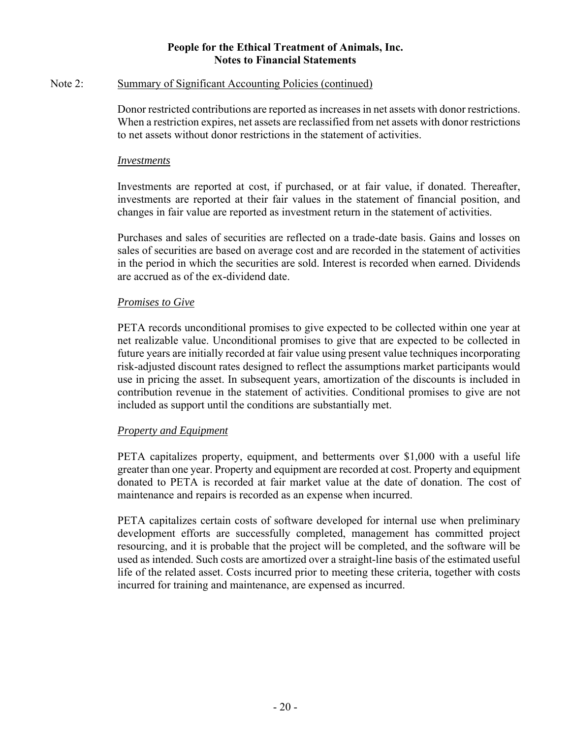#### Note 2: Summary of Significant Accounting Policies (continued)

Donor restricted contributions are reported as increases in net assets with donor restrictions. When a restriction expires, net assets are reclassified from net assets with donor restrictions to net assets without donor restrictions in the statement of activities.

#### *Investments*

Investments are reported at cost, if purchased, or at fair value, if donated. Thereafter, investments are reported at their fair values in the statement of financial position, and changes in fair value are reported as investment return in the statement of activities.

Purchases and sales of securities are reflected on a trade-date basis. Gains and losses on sales of securities are based on average cost and are recorded in the statement of activities in the period in which the securities are sold. Interest is recorded when earned. Dividends are accrued as of the ex-dividend date.

#### *Promises to Give*

PETA records unconditional promises to give expected to be collected within one year at net realizable value. Unconditional promises to give that are expected to be collected in future years are initially recorded at fair value using present value techniques incorporating risk-adjusted discount rates designed to reflect the assumptions market participants would use in pricing the asset. In subsequent years, amortization of the discounts is included in contribution revenue in the statement of activities. Conditional promises to give are not included as support until the conditions are substantially met.

#### *Property and Equipment*

PETA capitalizes property, equipment, and betterments over \$1,000 with a useful life greater than one year. Property and equipment are recorded at cost. Property and equipment donated to PETA is recorded at fair market value at the date of donation. The cost of maintenance and repairs is recorded as an expense when incurred.

PETA capitalizes certain costs of software developed for internal use when preliminary development efforts are successfully completed, management has committed project resourcing, and it is probable that the project will be completed, and the software will be used as intended. Such costs are amortized over a straight-line basis of the estimated useful life of the related asset. Costs incurred prior to meeting these criteria, together with costs incurred for training and maintenance, are expensed as incurred.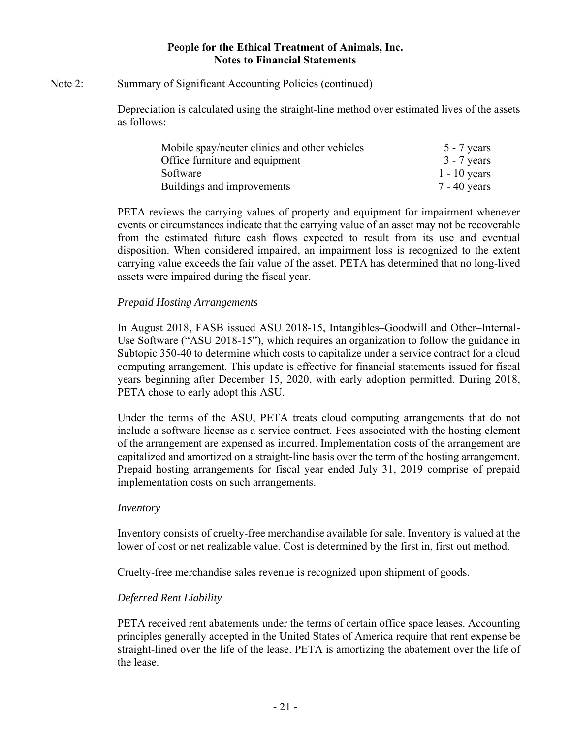#### Note 2: Summary of Significant Accounting Policies (continued)

Depreciation is calculated using the straight-line method over estimated lives of the assets as follows:

| Mobile spay/neuter clinics and other vehicles | $5 - 7$ years  |
|-----------------------------------------------|----------------|
| Office furniture and equipment                | $3 - 7$ years  |
| Software                                      | $1 - 10$ years |
| Buildings and improvements                    | $7 - 40$ years |

PETA reviews the carrying values of property and equipment for impairment whenever events or circumstances indicate that the carrying value of an asset may not be recoverable from the estimated future cash flows expected to result from its use and eventual disposition. When considered impaired, an impairment loss is recognized to the extent carrying value exceeds the fair value of the asset. PETA has determined that no long-lived assets were impaired during the fiscal year.

## *Prepaid Hosting Arrangements*

In August 2018, FASB issued ASU 2018-15, Intangibles–Goodwill and Other–Internal-Use Software ("ASU 2018-15"), which requires an organization to follow the guidance in Subtopic 350-40 to determine which costs to capitalize under a service contract for a cloud computing arrangement. This update is effective for financial statements issued for fiscal years beginning after December 15, 2020, with early adoption permitted. During 2018, PETA chose to early adopt this ASU.

Under the terms of the ASU, PETA treats cloud computing arrangements that do not include a software license as a service contract. Fees associated with the hosting element of the arrangement are expensed as incurred. Implementation costs of the arrangement are capitalized and amortized on a straight-line basis over the term of the hosting arrangement. Prepaid hosting arrangements for fiscal year ended July 31, 2019 comprise of prepaid implementation costs on such arrangements.

#### *Inventory*

Inventory consists of cruelty-free merchandise available for sale. Inventory is valued at the lower of cost or net realizable value. Cost is determined by the first in, first out method.

Cruelty-free merchandise sales revenue is recognized upon shipment of goods.

## *Deferred Rent Liability*

PETA received rent abatements under the terms of certain office space leases. Accounting principles generally accepted in the United States of America require that rent expense be straight-lined over the life of the lease. PETA is amortizing the abatement over the life of the lease.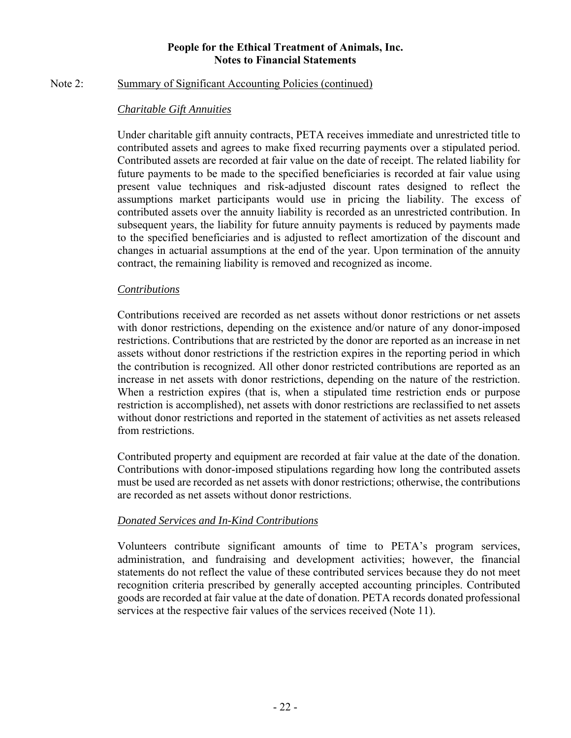#### Note 2: Summary of Significant Accounting Policies (continued)

## *Charitable Gift Annuities*

Under charitable gift annuity contracts, PETA receives immediate and unrestricted title to contributed assets and agrees to make fixed recurring payments over a stipulated period. Contributed assets are recorded at fair value on the date of receipt. The related liability for future payments to be made to the specified beneficiaries is recorded at fair value using present value techniques and risk-adjusted discount rates designed to reflect the assumptions market participants would use in pricing the liability. The excess of contributed assets over the annuity liability is recorded as an unrestricted contribution. In subsequent years, the liability for future annuity payments is reduced by payments made to the specified beneficiaries and is adjusted to reflect amortization of the discount and changes in actuarial assumptions at the end of the year. Upon termination of the annuity contract, the remaining liability is removed and recognized as income.

#### *Contributions*

Contributions received are recorded as net assets without donor restrictions or net assets with donor restrictions, depending on the existence and/or nature of any donor-imposed restrictions. Contributions that are restricted by the donor are reported as an increase in net assets without donor restrictions if the restriction expires in the reporting period in which the contribution is recognized. All other donor restricted contributions are reported as an increase in net assets with donor restrictions, depending on the nature of the restriction. When a restriction expires (that is, when a stipulated time restriction ends or purpose restriction is accomplished), net assets with donor restrictions are reclassified to net assets without donor restrictions and reported in the statement of activities as net assets released from restrictions.

Contributed property and equipment are recorded at fair value at the date of the donation. Contributions with donor-imposed stipulations regarding how long the contributed assets must be used are recorded as net assets with donor restrictions; otherwise, the contributions are recorded as net assets without donor restrictions.

## *Donated Services and In-Kind Contributions*

Volunteers contribute significant amounts of time to PETA's program services, administration, and fundraising and development activities; however, the financial statements do not reflect the value of these contributed services because they do not meet recognition criteria prescribed by generally accepted accounting principles. Contributed goods are recorded at fair value at the date of donation. PETA records donated professional services at the respective fair values of the services received (Note 11).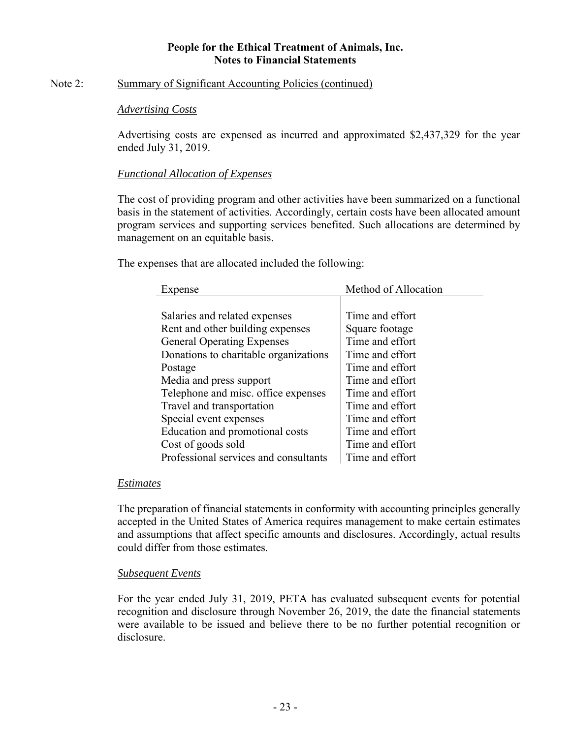#### Note 2: Summary of Significant Accounting Policies (continued)

#### *Advertising Costs*

Advertising costs are expensed as incurred and approximated \$2,437,329 for the year ended July 31, 2019.

### *Functional Allocation of Expenses*

The cost of providing program and other activities have been summarized on a functional basis in the statement of activities. Accordingly, certain costs have been allocated amount program services and supporting services benefited. Such allocations are determined by management on an equitable basis.

The expenses that are allocated included the following:

| Expense                               | Method of Allocation |
|---------------------------------------|----------------------|
|                                       |                      |
| Salaries and related expenses         | Time and effort      |
| Rent and other building expenses      | Square footage       |
| <b>General Operating Expenses</b>     | Time and effort      |
| Donations to charitable organizations | Time and effort      |
| Postage                               | Time and effort      |
| Media and press support               | Time and effort      |
| Telephone and misc. office expenses   | Time and effort      |
| Travel and transportation             | Time and effort      |
| Special event expenses                | Time and effort      |
| Education and promotional costs       | Time and effort      |
| Cost of goods sold                    | Time and effort      |
| Professional services and consultants | Time and effort      |

#### *Estimates*

The preparation of financial statements in conformity with accounting principles generally accepted in the United States of America requires management to make certain estimates and assumptions that affect specific amounts and disclosures. Accordingly, actual results could differ from those estimates.

#### *Subsequent Events*

For the year ended July 31, 2019, PETA has evaluated subsequent events for potential recognition and disclosure through November 26, 2019, the date the financial statements were available to be issued and believe there to be no further potential recognition or disclosure.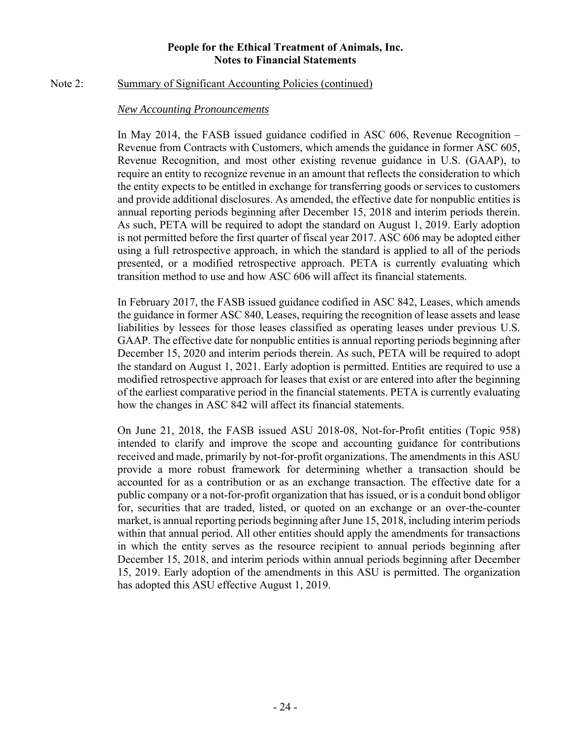#### Note 2: Summary of Significant Accounting Policies (continued)

#### *New Accounting Pronouncements*

In May 2014, the FASB issued guidance codified in ASC 606, Revenue Recognition – Revenue from Contracts with Customers, which amends the guidance in former ASC 605, Revenue Recognition, and most other existing revenue guidance in U.S. (GAAP), to require an entity to recognize revenue in an amount that reflects the consideration to which the entity expects to be entitled in exchange for transferring goods or services to customers and provide additional disclosures. As amended, the effective date for nonpublic entities is annual reporting periods beginning after December 15, 2018 and interim periods therein. As such, PETA will be required to adopt the standard on August 1, 2019. Early adoption is not permitted before the first quarter of fiscal year 2017. ASC 606 may be adopted either using a full retrospective approach, in which the standard is applied to all of the periods presented, or a modified retrospective approach. PETA is currently evaluating which transition method to use and how ASC 606 will affect its financial statements.

In February 2017, the FASB issued guidance codified in ASC 842, Leases, which amends the guidance in former ASC 840, Leases, requiring the recognition of lease assets and lease liabilities by lessees for those leases classified as operating leases under previous U.S. GAAP. The effective date for nonpublic entities is annual reporting periods beginning after December 15, 2020 and interim periods therein. As such, PETA will be required to adopt the standard on August 1, 2021. Early adoption is permitted. Entities are required to use a modified retrospective approach for leases that exist or are entered into after the beginning of the earliest comparative period in the financial statements. PETA is currently evaluating how the changes in ASC 842 will affect its financial statements.

On June 21, 2018, the FASB issued ASU 2018-08, Not-for-Profit entities (Topic 958) intended to clarify and improve the scope and accounting guidance for contributions received and made, primarily by not-for-profit organizations. The amendments in this ASU provide a more robust framework for determining whether a transaction should be accounted for as a contribution or as an exchange transaction. The effective date for a public company or a not-for-profit organization that has issued, or is a conduit bond obligor for, securities that are traded, listed, or quoted on an exchange or an over-the-counter market, is annual reporting periods beginning after June 15, 2018, including interim periods within that annual period. All other entities should apply the amendments for transactions in which the entity serves as the resource recipient to annual periods beginning after December 15, 2018, and interim periods within annual periods beginning after December 15, 2019. Early adoption of the amendments in this ASU is permitted. The organization has adopted this ASU effective August 1, 2019.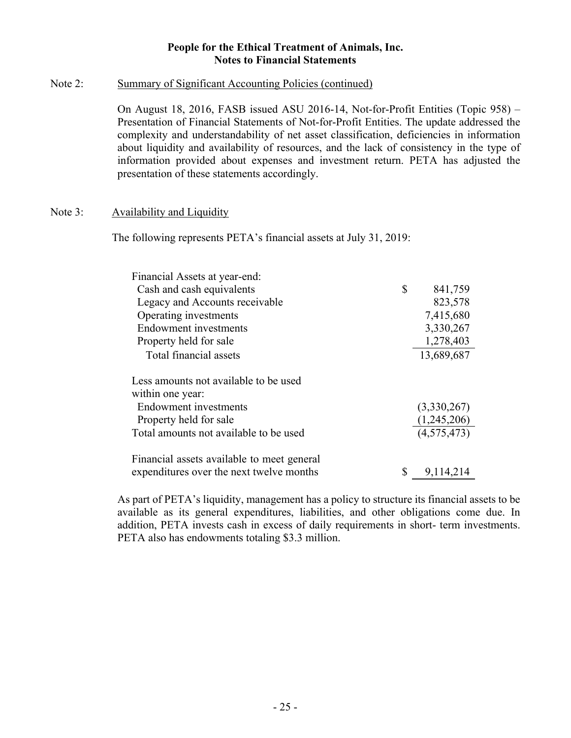#### Note 2: Summary of Significant Accounting Policies (continued)

On August 18, 2016, FASB issued ASU 2016-14, Not-for-Profit Entities (Topic 958) – Presentation of Financial Statements of Not-for-Profit Entities. The update addressed the complexity and understandability of net asset classification, deficiencies in information about liquidity and availability of resources, and the lack of consistency in the type of information provided about expenses and investment return. PETA has adjusted the presentation of these statements accordingly.

#### Note 3: Availability and Liquidity

The following represents PETA's financial assets at July 31, 2019:

| Financial Assets at year-end:              |                 |
|--------------------------------------------|-----------------|
| Cash and cash equivalents                  | \$<br>841,759   |
| Legacy and Accounts receivable             | 823,578         |
| Operating investments                      | 7,415,680       |
| <b>Endowment</b> investments               | 3,330,267       |
| Property held for sale                     | 1,278,403       |
| Total financial assets                     | 13,689,687      |
| Less amounts not available to be used      |                 |
| within one year:                           |                 |
| <b>Endowment</b> investments               | (3,330,267)     |
| Property held for sale                     | (1,245,206)     |
| Total amounts not available to be used     | (4,575,473)     |
| Financial assets available to meet general |                 |
| expenditures over the next twelve months   | \$<br>9,114,214 |

As part of PETA's liquidity, management has a policy to structure its financial assets to be available as its general expenditures, liabilities, and other obligations come due. In addition, PETA invests cash in excess of daily requirements in short- term investments. PETA also has endowments totaling \$3.3 million.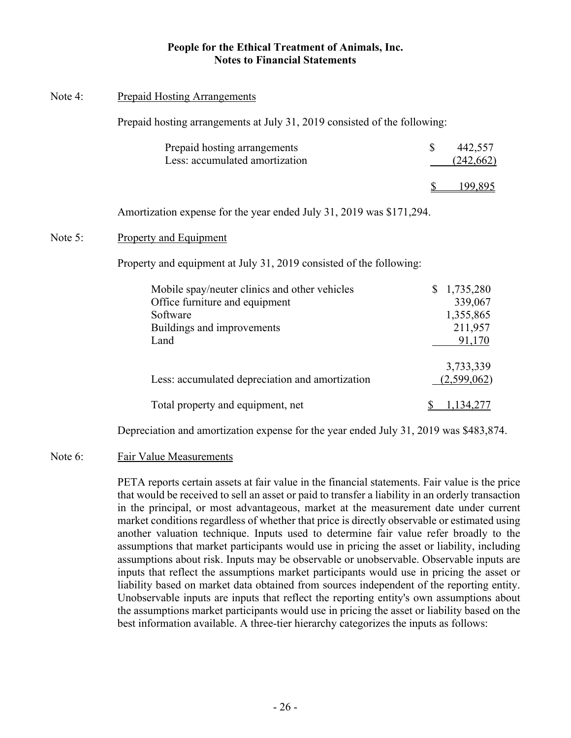#### Note 4: Prepaid Hosting Arrangements

Prepaid hosting arrangements at July 31, 2019 consisted of the following:

| Prepaid hosting arrangements<br>Less: accumulated amortization | 442,557<br>(242,662) |
|----------------------------------------------------------------|----------------------|
|                                                                | 99.895               |

Amortization expense for the year ended July 31, 2019 was \$171,294.

#### Note 5: Property and Equipment

Property and equipment at July 31, 2019 consisted of the following:

| Mobile spay/neuter clinics and other vehicles   | 1,735,280   |
|-------------------------------------------------|-------------|
| Office furniture and equipment                  | 339,067     |
| Software                                        | 1,355,865   |
| Buildings and improvements                      | 211,957     |
| Land                                            | 91,170      |
|                                                 |             |
|                                                 | 3,733,339   |
| Less: accumulated depreciation and amortization | (2,599,062) |
|                                                 |             |
| Total property and equipment, net               |             |
|                                                 |             |

Depreciation and amortization expense for the year ended July 31, 2019 was \$483,874.

#### Note 6: Fair Value Measurements

PETA reports certain assets at fair value in the financial statements. Fair value is the price that would be received to sell an asset or paid to transfer a liability in an orderly transaction in the principal, or most advantageous, market at the measurement date under current market conditions regardless of whether that price is directly observable or estimated using another valuation technique. Inputs used to determine fair value refer broadly to the assumptions that market participants would use in pricing the asset or liability, including assumptions about risk. Inputs may be observable or unobservable. Observable inputs are inputs that reflect the assumptions market participants would use in pricing the asset or liability based on market data obtained from sources independent of the reporting entity. Unobservable inputs are inputs that reflect the reporting entity's own assumptions about the assumptions market participants would use in pricing the asset or liability based on the best information available. A three-tier hierarchy categorizes the inputs as follows: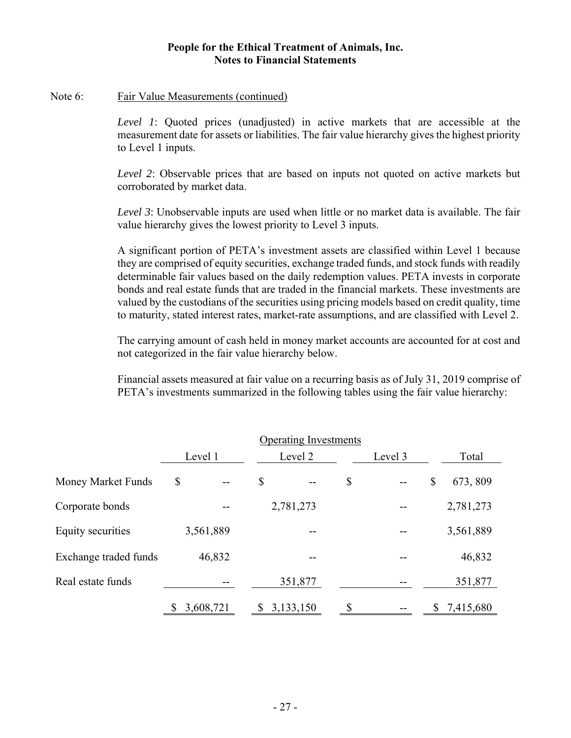#### Note 6: Fair Value Measurements (continued)

*Level 1*: Quoted prices (unadjusted) in active markets that are accessible at the measurement date for assets or liabilities. The fair value hierarchy gives the highest priority to Level 1 inputs.

*Level 2*: Observable prices that are based on inputs not quoted on active markets but corroborated by market data.

*Level 3*: Unobservable inputs are used when little or no market data is available. The fair value hierarchy gives the lowest priority to Level 3 inputs.

A significant portion of PETA's investment assets are classified within Level 1 because they are comprised of equity securities, exchange traded funds, and stock funds with readily determinable fair values based on the daily redemption values. PETA invests in corporate bonds and real estate funds that are traded in the financial markets. These investments are valued by the custodians of the securities using pricing models based on credit quality, time to maturity, stated interest rates, market-rate assumptions, and are classified with Level 2.

The carrying amount of cash held in money market accounts are accounted for at cost and not categorized in the fair value hierarchy below.

Financial assets measured at fair value on a recurring basis as of July 31, 2019 comprise of PETA's investments summarized in the following tables using the fair value hierarchy:

|                       | Level 1   | Level 2        | Level 3  |             |  |  |
|-----------------------|-----------|----------------|----------|-------------|--|--|
| Money Market Funds    | \$        | \$             | \$<br>\$ | 673, 809    |  |  |
| Corporate bonds       |           | 2,781,273      |          | 2,781,273   |  |  |
| Equity securities     | 3,561,889 | --             |          | 3,561,889   |  |  |
| Exchange traded funds | 46,832    |                |          | 46,832      |  |  |
| Real estate funds     |           | 351,877        |          | 351,877     |  |  |
|                       | 3,608,721 | 3,133,150<br>S | \$       | \$7,415,680 |  |  |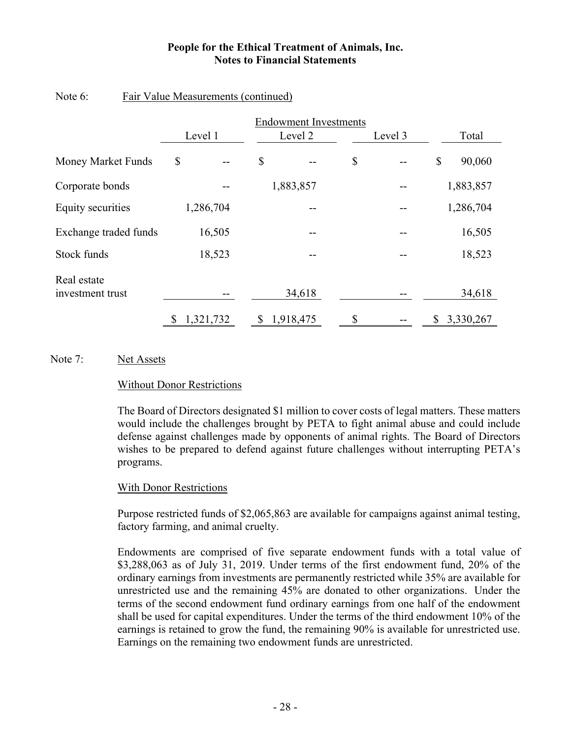|                                 | Level 1         | Level 2         | Level 3 | Total           |
|---------------------------------|-----------------|-----------------|---------|-----------------|
| Money Market Funds              | \$              | \$              | \$      | \$<br>90,060    |
| Corporate bonds                 |                 | 1,883,857       |         | 1,883,857       |
| Equity securities               | 1,286,704       |                 |         | 1,286,704       |
| Exchange traded funds           | 16,505          |                 |         | 16,505          |
| Stock funds                     | 18,523          | --              |         | 18,523          |
| Real estate<br>investment trust |                 | 34,618          |         | 34,618          |
|                                 | 1,321,732<br>\$ | 1,918,475<br>\$ | \$      | 3,330,267<br>\$ |

## Note 6: Fair Value Measurements (continued)

## Note 7: Net Assets

#### Without Donor Restrictions

The Board of Directors designated \$1 million to cover costs of legal matters. These matters would include the challenges brought by PETA to fight animal abuse and could include defense against challenges made by opponents of animal rights. The Board of Directors wishes to be prepared to defend against future challenges without interrupting PETA's programs.

#### With Donor Restrictions

Purpose restricted funds of \$2,065,863 are available for campaigns against animal testing, factory farming, and animal cruelty.

Endowments are comprised of five separate endowment funds with a total value of \$3,288,063 as of July 31, 2019. Under terms of the first endowment fund, 20% of the ordinary earnings from investments are permanently restricted while 35% are available for unrestricted use and the remaining 45% are donated to other organizations. Under the terms of the second endowment fund ordinary earnings from one half of the endowment shall be used for capital expenditures. Under the terms of the third endowment 10% of the earnings is retained to grow the fund, the remaining 90% is available for unrestricted use. Earnings on the remaining two endowment funds are unrestricted.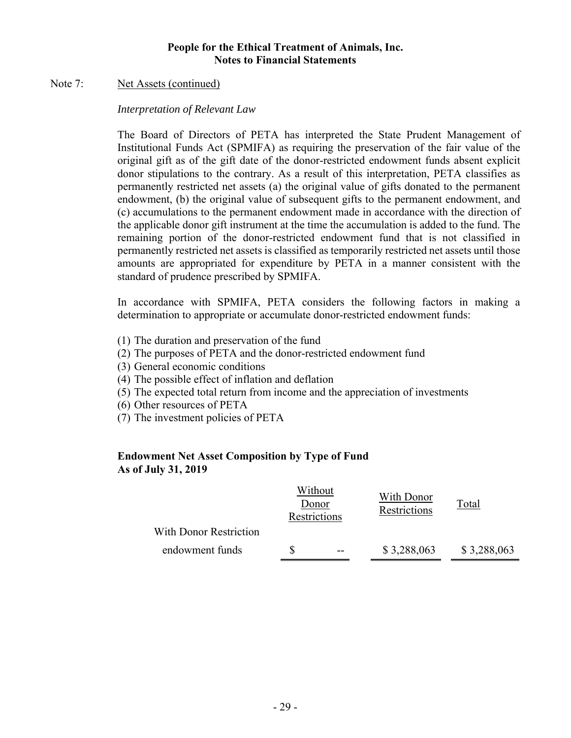#### Note 7: Net Assets (continued)

#### *Interpretation of Relevant Law*

The Board of Directors of PETA has interpreted the State Prudent Management of Institutional Funds Act (SPMIFA) as requiring the preservation of the fair value of the original gift as of the gift date of the donor-restricted endowment funds absent explicit donor stipulations to the contrary. As a result of this interpretation, PETA classifies as permanently restricted net assets (a) the original value of gifts donated to the permanent endowment, (b) the original value of subsequent gifts to the permanent endowment, and (c) accumulations to the permanent endowment made in accordance with the direction of the applicable donor gift instrument at the time the accumulation is added to the fund. The remaining portion of the donor-restricted endowment fund that is not classified in permanently restricted net assets is classified as temporarily restricted net assets until those amounts are appropriated for expenditure by PETA in a manner consistent with the standard of prudence prescribed by SPMIFA.

In accordance with SPMIFA, PETA considers the following factors in making a determination to appropriate or accumulate donor-restricted endowment funds:

- (1) The duration and preservation of the fund
- (2) The purposes of PETA and the donor-restricted endowment fund
- (3) General economic conditions
- (4) The possible effect of inflation and deflation
- (5) The expected total return from income and the appreciation of investments
- (6) Other resources of PETA
- (7) The investment policies of PETA

## **Endowment Net Asset Composition by Type of Fund As of July 31, 2019**

|                        | Without<br>Donor<br>Restrictions | With Donor<br>Restrictions | Total       |  |
|------------------------|----------------------------------|----------------------------|-------------|--|
| With Donor Restriction |                                  |                            |             |  |
| endowment funds        | --                               | \$3,288,063                | \$3,288,063 |  |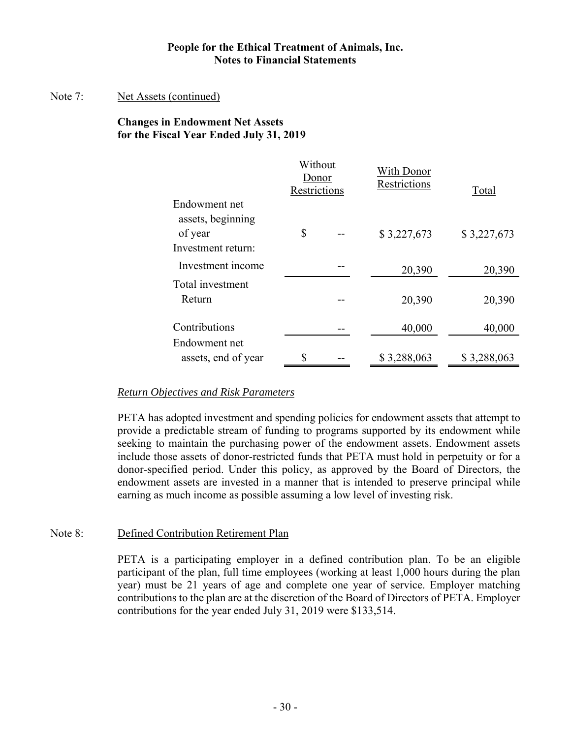#### Note 7: Net Assets (continued)

## **Changes in Endowment Net Assets for the Fiscal Year Ended July 31, 2019**

|                     | Without<br>Donor<br>Restrictions | With Donor<br>Restrictions | Total       |  |
|---------------------|----------------------------------|----------------------------|-------------|--|
| Endowment net       |                                  |                            |             |  |
| assets, beginning   |                                  |                            |             |  |
| of year             | \$                               | \$3,227,673                | \$3,227,673 |  |
| Investment return:  |                                  |                            |             |  |
| Investment income   |                                  | 20,390                     | 20,390      |  |
| Total investment    |                                  |                            |             |  |
| Return              |                                  | 20,390                     | 20,390      |  |
| Contributions       |                                  | 40,000                     | 40,000      |  |
| Endowment net       |                                  |                            |             |  |
| assets, end of year | \$                               | \$3,288,063                | \$3,288,063 |  |

#### *Return Objectives and Risk Parameters*

PETA has adopted investment and spending policies for endowment assets that attempt to provide a predictable stream of funding to programs supported by its endowment while seeking to maintain the purchasing power of the endowment assets. Endowment assets include those assets of donor-restricted funds that PETA must hold in perpetuity or for a donor-specified period. Under this policy, as approved by the Board of Directors, the endowment assets are invested in a manner that is intended to preserve principal while earning as much income as possible assuming a low level of investing risk.

#### Note 8: Defined Contribution Retirement Plan

PETA is a participating employer in a defined contribution plan. To be an eligible participant of the plan, full time employees (working at least 1,000 hours during the plan year) must be 21 years of age and complete one year of service. Employer matching contributions to the plan are at the discretion of the Board of Directors of PETA. Employer contributions for the year ended July 31, 2019 were \$133,514.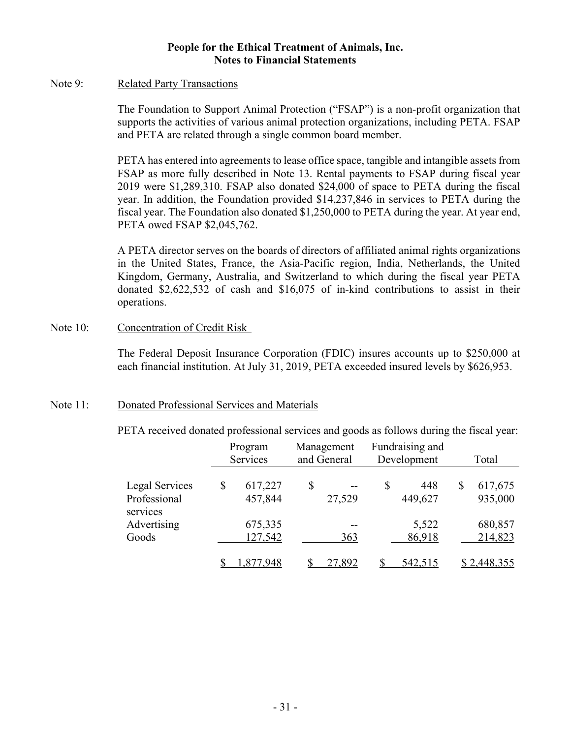#### Note 9: Related Party Transactions

The Foundation to Support Animal Protection ("FSAP") is a non-profit organization that supports the activities of various animal protection organizations, including PETA. FSAP and PETA are related through a single common board member.

PETA has entered into agreements to lease office space, tangible and intangible assets from FSAP as more fully described in Note 13. Rental payments to FSAP during fiscal year 2019 were \$1,289,310. FSAP also donated \$24,000 of space to PETA during the fiscal year. In addition, the Foundation provided \$14,237,846 in services to PETA during the fiscal year. The Foundation also donated \$1,250,000 to PETA during the year. At year end, PETA owed FSAP \$2,045,762.

A PETA director serves on the boards of directors of affiliated animal rights organizations in the United States, France, the Asia-Pacific region, India, Netherlands, the United Kingdom, Germany, Australia, and Switzerland to which during the fiscal year PETA donated \$2,622,532 of cash and \$16,075 of in-kind contributions to assist in their operations.

#### Note 10: Concentration of Credit Risk

The Federal Deposit Insurance Corporation (FDIC) insures accounts up to \$250,000 at each financial institution. At July 31, 2019, PETA exceeded insured levels by \$626,953.

#### Note 11: Donated Professional Services and Materials

PETA received donated professional services and goods as follows during the fiscal year:

|                          | Program<br>Services | Management<br>and General | Fundraising and<br>Development | Total         |
|--------------------------|---------------------|---------------------------|--------------------------------|---------------|
|                          |                     |                           |                                |               |
| Legal Services           | \$<br>617,227       | \$                        | \$<br>448                      | \$<br>617,675 |
| Professional<br>services | 457,844             | 27,529                    | 449,627                        | 935,000       |
| Advertising              | 675,335             |                           | 5,522                          | 680,857       |
| Goods                    | 127,542             | 363                       | 86,918                         | 214,823       |
|                          | '.948               | <u>27,892</u>             | <u>542,515</u>                 | \$2,448,355   |